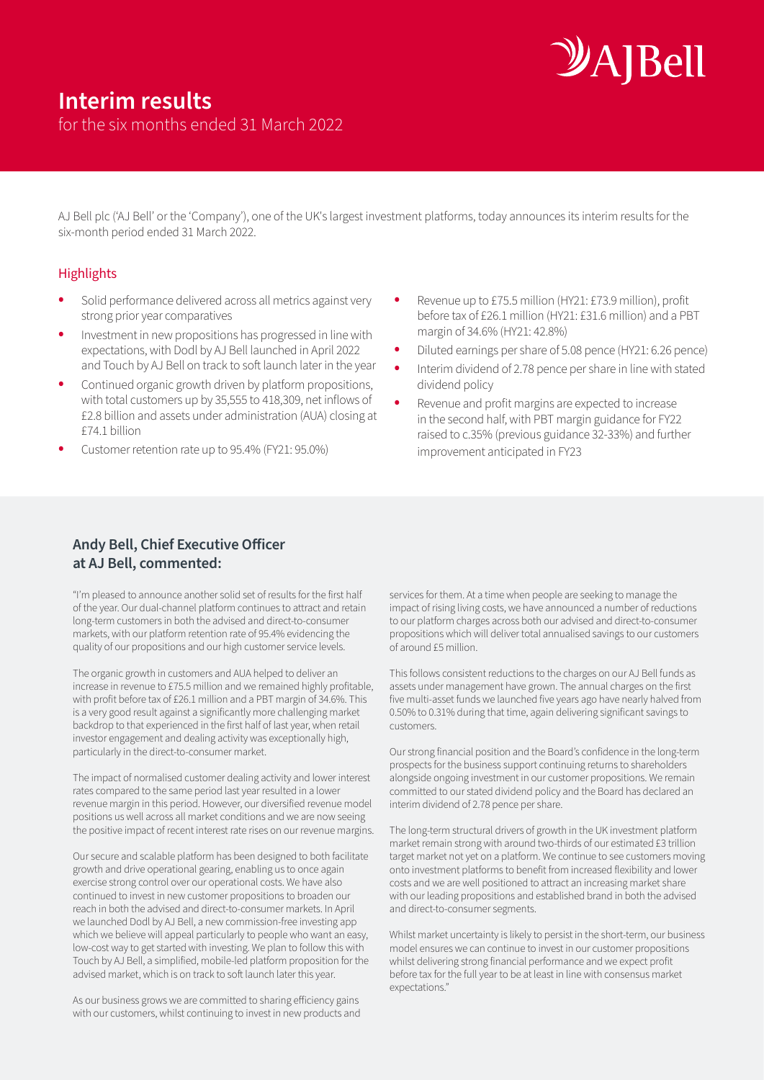# *DAIBell*

for the six months ended 31 March 2022

AJ Bell plc ('AJ Bell' or the 'Company'), one of the UK's largest investment platforms, today announces its interim results for the six-month period ended 31 March 2022.

#### **Highlights**

- Solid performance delivered across all metrics against very strong prior year comparatives
- Investment in new propositions has progressed in line with expectations, with Dodl by AJ Bell launched in April 2022 and Touch by AJ Bell on track to soft launch later in the year
- Continued organic growth driven by platform propositions, with total customers up by 35,555 to 418,309, net inflows of £2.8 billion and assets under administration (AUA) closing at £74.1 billion
- Customer retention rate up to 95.4% (FY21: 95.0%)
- Revenue up to £75.5 million (HY21: £73.9 million), profit before tax of £26.1 million (HY21: £31.6 million) and a PBT margin of 34.6% (HY21: 42.8%)
- Diluted earnings per share of 5.08 pence (HY21: 6.26 pence)
- Interim dividend of 2.78 pence per share in line with stated dividend policy
- Revenue and profit margins are expected to increase in the second half, with PBT margin guidance for FY22 raised to c.35% (previous guidance 32-33%) and further improvement anticipated in FY23

#### **Andy Bell, Chief Executive Officer at AJ Bell, commented:**

"I'm pleased to announce another solid set of results for the first half of the year. Our dual-channel platform continues to attract and retain long-term customers in both the advised and direct-to-consumer markets, with our platform retention rate of 95.4% evidencing the quality of our propositions and our high customer service levels.

The organic growth in customers and AUA helped to deliver an increase in revenue to £75.5 million and we remained highly profitable, with profit before tax of £26.1 million and a PBT margin of 34.6%. This is a very good result against a significantly more challenging market backdrop to that experienced in the first half of last year, when retail investor engagement and dealing activity was exceptionally high, particularly in the direct-to-consumer market.

The impact of normalised customer dealing activity and lower interest rates compared to the same period last year resulted in a lower revenue margin in this period. However, our diversified revenue model positions us well across all market conditions and we are now seeing the positive impact of recent interest rate rises on our revenue margins.

Our secure and scalable platform has been designed to both facilitate growth and drive operational gearing, enabling us to once again exercise strong control over our operational costs. We have also continued to invest in new customer propositions to broaden our reach in both the advised and direct-to-consumer markets. In April we launched Dodl by AJ Bell, a new commission-free investing app which we believe will appeal particularly to people who want an easy, low-cost way to get started with investing. We plan to follow this with Touch by AJ Bell, a simplified, mobile-led platform proposition for the advised market, which is on track to soft launch later this year.

As our business grows we are committed to sharing efficiency gains with our customers, whilst continuing to invest in new products and services for them. At a time when people are seeking to manage the impact of rising living costs, we have announced a number of reductions to our platform charges across both our advised and direct-to-consumer propositions which will deliver total annualised savings to our customers of around £5 million.

This follows consistent reductions to the charges on our AJ Bell funds as assets under management have grown. The annual charges on the first five multi-asset funds we launched five years ago have nearly halved from 0.50% to 0.31% during that time, again delivering significant savings to customers.

Our strong financial position and the Board's confidence in the long-term prospects for the business support continuing returns to shareholders alongside ongoing investment in our customer propositions. We remain committed to our stated dividend policy and the Board has declared an interim dividend of 2.78 pence per share.

The long-term structural drivers of growth in the UK investment platform market remain strong with around two-thirds of our estimated £3 trillion target market not yet on a platform. We continue to see customers moving onto investment platforms to benefit from increased flexibility and lower costs and we are well positioned to attract an increasing market share with our leading propositions and established brand in both the advised and direct-to-consumer segments.

Whilst market uncertainty is likely to persist in the short-term, our business model ensures we can continue to invest in our customer propositions whilst delivering strong financial performance and we expect profit before tax for the full year to be at least in line with consensus market expectations."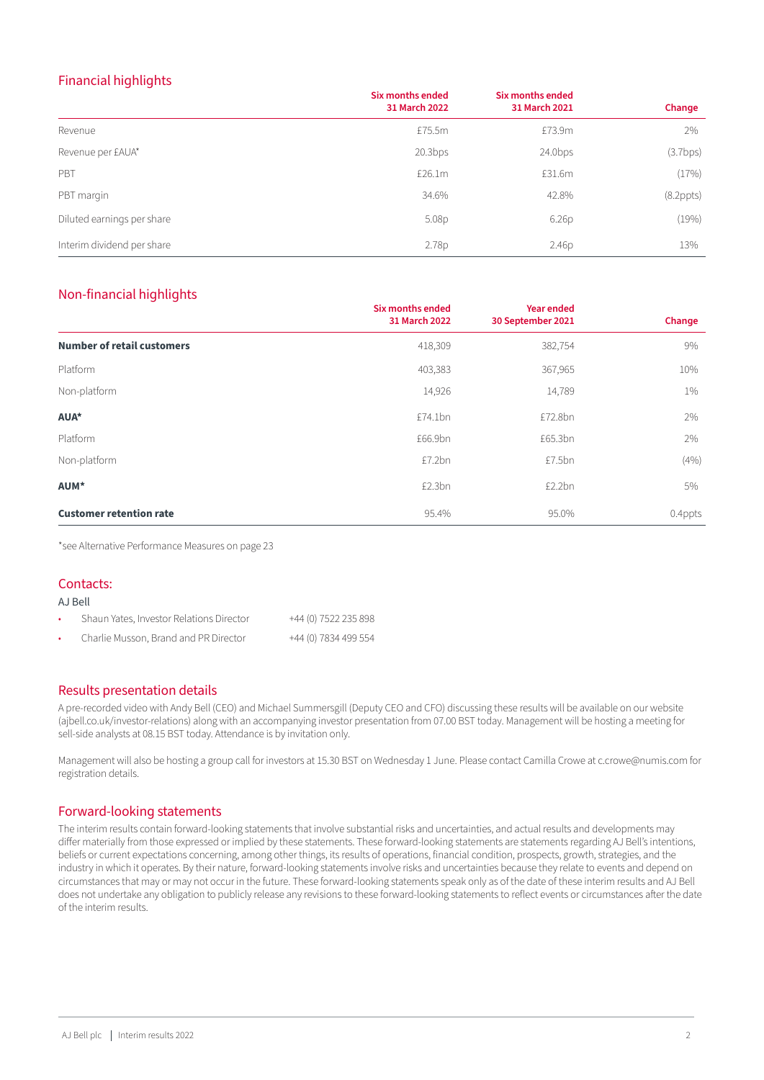#### Financial highlights

|                            | <b>Six months ended</b><br>31 March 2022 | Six months ended<br>31 March 2021 | Change          |
|----------------------------|------------------------------------------|-----------------------------------|-----------------|
| Revenue                    | £75.5m                                   | £73.9m                            | 2%              |
| Revenue per £AUA*          | 20.3bps                                  | $24.0$ bps                        | (3.7bps)        |
| PBT                        | £26.1m                                   | £31.6m                            | (17%)           |
| PBT margin                 | 34.6%                                    | 42.8%                             | $(8.2$ ppts $)$ |
| Diluted earnings per share | 5.08p                                    | 6.26 <sub>D</sub>                 | (19%)           |
| Interim dividend per share | 2.78p                                    | 2.46p                             | 13%             |

#### Non-financial highlights

|                                   | <b>Six months ended</b><br>31 March 2022 | <b>Year ended</b><br>30 September 2021 | Change  |
|-----------------------------------|------------------------------------------|----------------------------------------|---------|
| <b>Number of retail customers</b> | 418,309                                  | 382,754                                | 9%      |
| Platform                          | 403,383                                  | 367,965                                | 10%     |
| Non-platform                      | 14,926                                   | 14,789                                 | $1\%$   |
| AUA*                              | £74.1bn                                  | £72.8bn                                | 2%      |
| Platform                          | £66.9bn                                  | £65.3bn                                | 2%      |
| Non-platform                      | £7.2bn                                   | £7.5bn                                 | (4%)    |
| AUM*                              | £2.3bn                                   | £2.2bn                                 | 5%      |
| <b>Customer retention rate</b>    | 95.4%                                    | 95.0%                                  | 0.4ppts |

\*see Alternative Performance Measures on page 23

#### Contacts:

#### AJ Bell

| Shaun Yates, Investor Relations Director | +44 (0) 7522 235 898 |
|------------------------------------------|----------------------|
| Charlie Musson, Brand and PR Director    | +44 (0) 7834 499 554 |

#### Results presentation details

A pre-recorded video with Andy Bell (CEO) and Michael Summersgill (Deputy CEO and CFO) discussing these results will be available on our website (ajbell.co.uk/investor-relations) along with an accompanying investor presentation from 07.00 BST today. Management will be hosting a meeting for sell-side analysts at 08.15 BST today. Attendance is by invitation only.

Management will also be hosting a group call for investors at 15.30 BST on Wednesday 1 June. Please contact Camilla Crowe at c.crowe@numis.com for registration details.

#### Forward-looking statements

The interim results contain forward-looking statements that involve substantial risks and uncertainties, and actual results and developments may differ materially from those expressed or implied by these statements. These forward-looking statements are statements regarding AJ Bell's intentions, beliefs or current expectations concerning, among other things, its results of operations, financial condition, prospects, growth, strategies, and the industry in which it operates. By their nature, forward-looking statements involve risks and uncertainties because they relate to events and depend on circumstances that may or may not occur in the future. These forward-looking statements speak only as of the date of these interim results and AJ Bell does not undertake any obligation to publicly release any revisions to these forward-looking statements to reflect events or circumstances after the date of the interim results.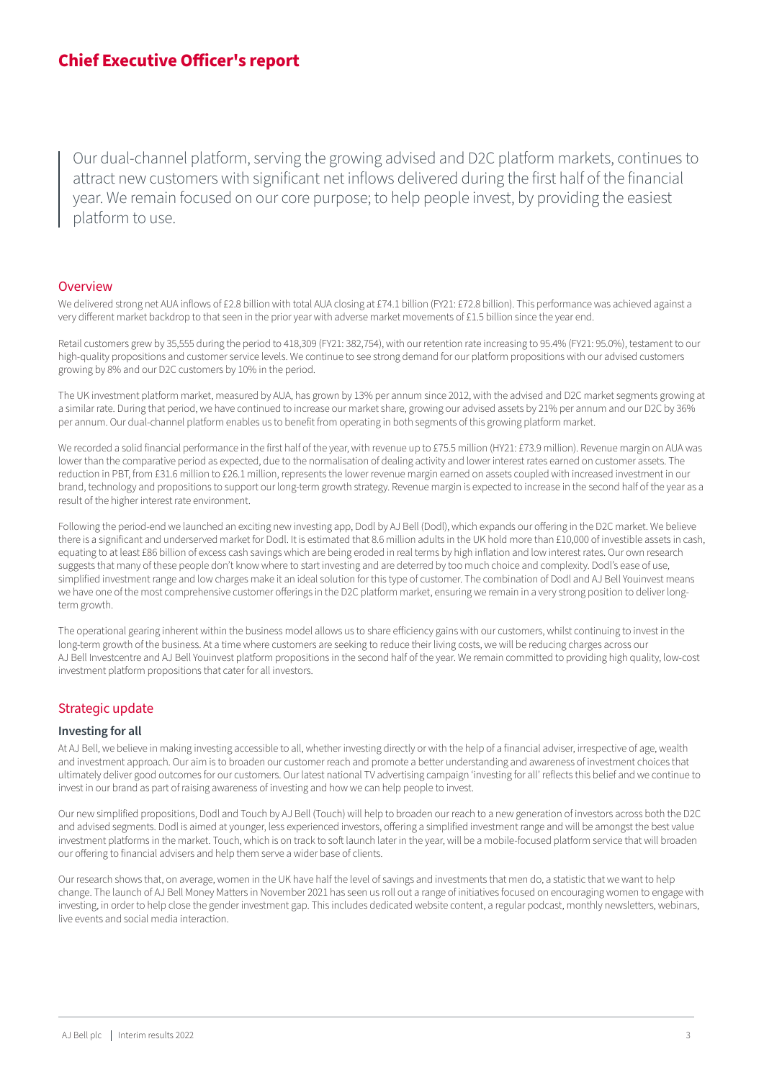Our dual-channel platform, serving the growing advised and D2C platform markets, continues to attract new customers with significant net inflows delivered during the first half of the financial year. We remain focused on our core purpose; to help people invest, by providing the easiest platform to use.

#### **Overview**

We delivered strong net AUA inflows of £2.8 billion with total AUA closing at £74.1 billion (FY21: £72.8 billion). This performance was achieved against a very different market backdrop to that seen in the prior year with adverse market movements of £1.5 billion since the year end.

Retail customers grew by 35,555 during the period to 418,309 (FY21: 382,754), with our retention rate increasing to 95.4% (FY21: 95.0%), testament to our high-quality propositions and customer service levels. We continue to see strong demand for our platform propositions with our advised customers growing by 8% and our D2C customers by 10% in the period.

The UK investment platform market, measured by AUA, has grown by 13% per annum since 2012, with the advised and D2C market segments growing at a similar rate. During that period, we have continued to increase our market share, growing our advised assets by 21% per annum and our D2C by 36% per annum. Our dual-channel platform enables us to benefit from operating in both segments of this growing platform market.

We recorded a solid financial performance in the first half of the year, with revenue up to £75.5 million (HY21: £73.9 million). Revenue margin on AUA was lower than the comparative period as expected, due to the normalisation of dealing activity and lower interest rates earned on customer assets. The reduction in PBT, from £31.6 million to £26.1 million, represents the lower revenue margin earned on assets coupled with increased investment in our brand, technology and propositions to support our long-term growth strategy. Revenue margin is expected to increase in the second half of the year as a result of the higher interest rate environment.

Following the period-end we launched an exciting new investing app, Dodl by AJ Bell (Dodl), which expands our offering in the D2C market. We believe there is a significant and underserved market for Dodl. It is estimated that 8.6 million adults in the UK hold more than £10,000 of investible assets in cash, equating to at least £86 billion of excess cash savings which are being eroded in real terms by high inflation and low interest rates. Our own research suggests that many of these people don't know where to start investing and are deterred by too much choice and complexity. Dodl's ease of use, simplified investment range and low charges make it an ideal solution for this type of customer. The combination of Dodl and AJ Bell Youinvest means we have one of the most comprehensive customer offerings in the D2C platform market, ensuring we remain in a very strong position to deliver longterm growth.

The operational gearing inherent within the business model allows us to share efficiency gains with our customers, whilst continuing to invest in the long-term growth of the business. At a time where customers are seeking to reduce their living costs, we will be reducing charges across our AJ Bell Investcentre and AJ Bell Youinvest platform propositions in the second half of the year. We remain committed to providing high quality, low-cost investment platform propositions that cater for all investors.

#### Strategic update

#### **Investing for all**

At AJ Bell, we believe in making investing accessible to all, whether investing directly or with the help of a financial adviser, irrespective of age, wealth and investment approach. Our aim is to broaden our customer reach and promote a better understanding and awareness of investment choices that ultimately deliver good outcomes for our customers. Our latest national TV advertising campaign 'investing for all' reflects this belief and we continue to invest in our brand as part of raising awareness of investing and how we can help people to invest.

Our new simplified propositions, Dodl and Touch by AJ Bell (Touch) will help to broaden our reach to a new generation of investors across both the D2C and advised segments. Dodl is aimed at younger, less experienced investors, offering a simplified investment range and will be amongst the best value investment platforms in the market. Touch, which is on track to soft launch later in the year, will be a mobile-focused platform service that will broaden our offering to financial advisers and help them serve a wider base of clients.

Our research shows that, on average, women in the UK have half the level of savings and investments that men do, a statistic that we want to help change. The launch of AJ Bell Money Matters in November 2021 has seen us roll out a range of initiatives focused on encouraging women to engage with investing, in order to help close the gender investment gap. This includes dedicated website content, a regular podcast, monthly newsletters, webinars, live events and social media interaction.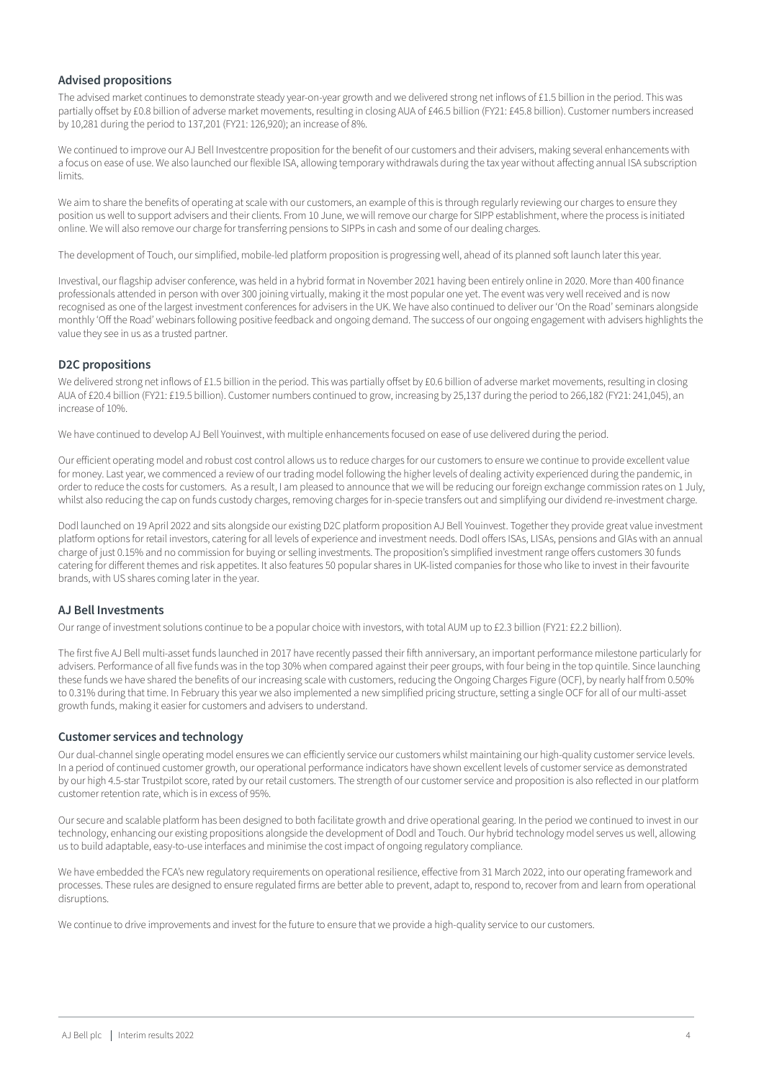#### **Advised propositions**

The advised market continues to demonstrate steady year-on-year growth and we delivered strong net inflows of £1.5 billion in the period. This was partially offset by £0.8 billion of adverse market movements, resulting in closing AUA of £46.5 billion (FY21: £45.8 billion). Customer numbers increased by 10,281 during the period to 137,201 (FY21: 126,920); an increase of 8%.

We continued to improve our AJ Bell Investcentre proposition for the benefit of our customers and their advisers, making several enhancements with a focus on ease of use. We also launched our flexible ISA, allowing temporary withdrawals during the tax year without affecting annual ISA subscription limits.

We aim to share the benefits of operating at scale with our customers, an example of this is through regularly reviewing our charges to ensure they position us well to support advisers and their clients. From 10 June, we will remove our charge for SIPP establishment, where the process is initiated online. We will also remove our charge for transferring pensions to SIPPs in cash and some of our dealing charges.

The development of Touch, our simplified, mobile-led platform proposition is progressing well, ahead of its planned soft launch later this year.

Investival, our flagship adviser conference, was held in a hybrid format in November 2021 having been entirely online in 2020. More than 400 finance professionals attended in person with over 300 joining virtually, making it the most popular one yet. The event was very well received and is now recognised as one of the largest investment conferences for advisers in the UK. We have also continued to deliver our 'On the Road' seminars alongside monthly 'Off the Road' webinars following positive feedback and ongoing demand. The success of our ongoing engagement with advisers highlights the value they see in us as a trusted partner.

#### **D2C propositions**

We delivered strong net inflows of £1.5 billion in the period. This was partially offset by £0.6 billion of adverse market movements, resulting in closing AUA of £20.4 billion (FY21: £19.5 billion). Customer numbers continued to grow, increasing by 25,137 during the period to 266,182 (FY21: 241,045), an increase of 10%.

We have continued to develop AJ Bell Youinvest, with multiple enhancements focused on ease of use delivered during the period.

Our efficient operating model and robust cost control allows us to reduce charges for our customers to ensure we continue to provide excellent value for money. Last year, we commenced a review of our trading model following the higher levels of dealing activity experienced during the pandemic, in order to reduce the costs for customers. As a result, I am pleased to announce that we will be reducing our foreign exchange commission rates on 1 July, whilst also reducing the cap on funds custody charges, removing charges for in-specie transfers out and simplifying our dividend re-investment charge.

Dodl launched on 19 April 2022 and sits alongside our existing D2C platform proposition AJ Bell Youinvest. Together they provide great value investment platform options for retail investors, catering for all levels of experience and investment needs. Dodl offers ISAs, LISAs, pensions and GIAs with an annual charge of just 0.15% and no commission for buying or selling investments. The proposition's simplified investment range offers customers 30 funds catering for different themes and risk appetites. It also features 50 popular shares in UK-listed companies for those who like to invest in their favourite brands, with US shares coming later in the year.

#### **AJ Bell Investments**

Our range of investment solutions continue to be a popular choice with investors, with total AUM up to £2.3 billion (FY21: £2.2 billion).

The first five AJ Bell multi-asset funds launched in 2017 have recently passed their fifth anniversary, an important performance milestone particularly for advisers. Performance of all five funds was in the top 30% when compared against their peer groups, with four being in the top quintile. Since launching these funds we have shared the benefits of our increasing scale with customers, reducing the Ongoing Charges Figure (OCF), by nearly half from 0.50% to 0.31% during that time. In February this year we also implemented a new simplified pricing structure, setting a single OCF for all of our multi-asset growth funds, making it easier for customers and advisers to understand.

#### **Customer services and technology**

Our dual-channel single operating model ensures we can efficiently service our customers whilst maintaining our high-quality customer service levels. In a period of continued customer growth, our operational performance indicators have shown excellent levels of customer service as demonstrated by our high 4.5-star Trustpilot score, rated by our retail customers. The strength of our customer service and proposition is also reflected in our platform customer retention rate, which is in excess of 95%.

Our secure and scalable platform has been designed to both facilitate growth and drive operational gearing. In the period we continued to invest in our technology, enhancing our existing propositions alongside the development of Dodl and Touch. Our hybrid technology model serves us well, allowing us to build adaptable, easy-to-use interfaces and minimise the cost impact of ongoing regulatory compliance.

We have embedded the FCA's new regulatory requirements on operational resilience, effective from 31 March 2022, into our operating framework and processes. These rules are designed to ensure regulated firms are better able to prevent, adapt to, respond to, recover from and learn from operational disruptions.

We continue to drive improvements and invest for the future to ensure that we provide a high-quality service to our customers.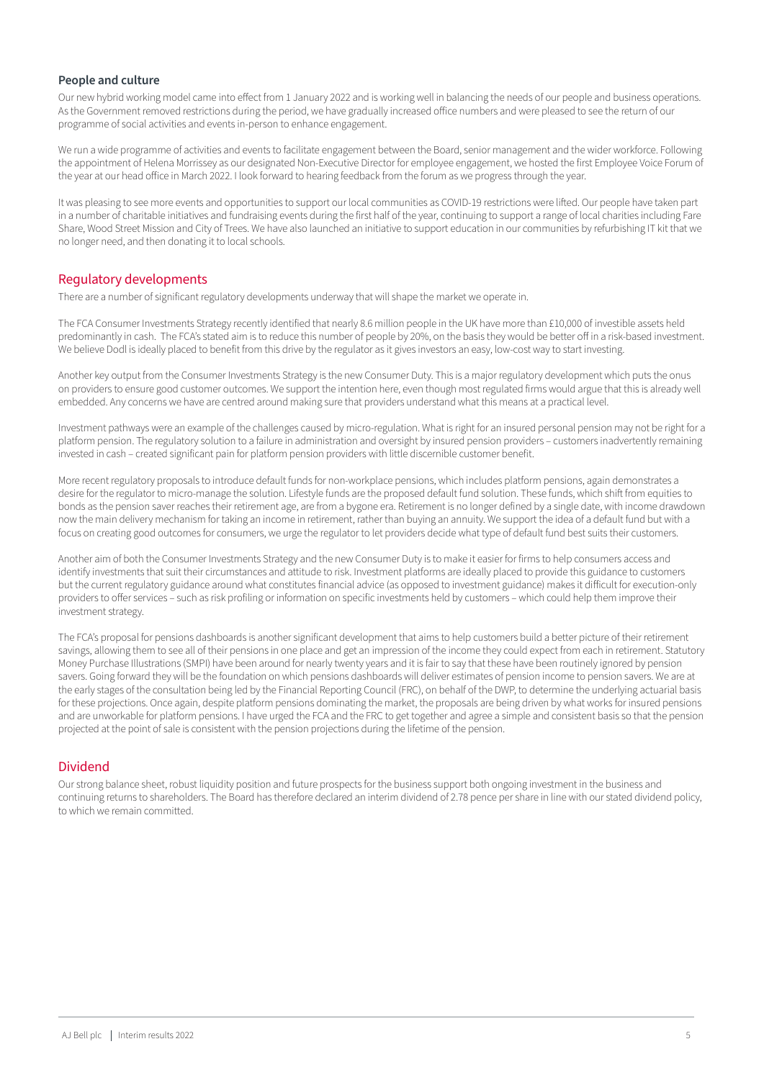#### **People and culture**

Our new hybrid working model came into effect from 1 January 2022 and is working well in balancing the needs of our people and business operations. As the Government removed restrictions during the period, we have gradually increased office numbers and were pleased to see the return of our programme of social activities and events in-person to enhance engagement.

We run a wide programme of activities and events to facilitate engagement between the Board, senior management and the wider workforce. Following the appointment of Helena Morrissey as our designated Non-Executive Director for employee engagement, we hosted the first Employee Voice Forum of the year at our head office in March 2022. I look forward to hearing feedback from the forum as we progress through the year.

It was pleasing to see more events and opportunities to support our local communities as COVID-19 restrictions were lifted. Our people have taken part in a number of charitable initiatives and fundraising events during the first half of the year, continuing to support a range of local charities including Fare Share, Wood Street Mission and City of Trees. We have also launched an initiative to support education in our communities by refurbishing IT kit that we no longer need, and then donating it to local schools.

#### Regulatory developments

There are a number of significant regulatory developments underway that will shape the market we operate in.

The FCA Consumer Investments Strategy recently identified that nearly 8.6 million people in the UK have more than £10,000 of investible assets held predominantly in cash. The FCA's stated aim is to reduce this number of people by 20%, on the basis they would be better off in a risk-based investment. We believe Dodl is ideally placed to benefit from this drive by the regulator as it gives investors an easy, low-cost way to start investing.

Another key output from the Consumer Investments Strategy is the new Consumer Duty. This is a major regulatory development which puts the onus on providers to ensure good customer outcomes. We support the intention here, even though most regulated firms would argue that this is already well embedded. Any concerns we have are centred around making sure that providers understand what this means at a practical level.

Investment pathways were an example of the challenges caused by micro-regulation. What is right for an insured personal pension may not be right for a platform pension. The regulatory solution to a failure in administration and oversight by insured pension providers – customers inadvertently remaining invested in cash – created significant pain for platform pension providers with little discernible customer benefit.

More recent regulatory proposals to introduce default funds for non-workplace pensions, which includes platform pensions, again demonstrates a desire for the regulator to micro-manage the solution. Lifestyle funds are the proposed default fund solution. These funds, which shift from equities to bonds as the pension saver reaches their retirement age, are from a bygone era. Retirement is no longer defined by a single date, with income drawdown now the main delivery mechanism for taking an income in retirement, rather than buying an annuity. We support the idea of a default fund but with a focus on creating good outcomes for consumers, we urge the regulator to let providers decide what type of default fund best suits their customers.

Another aim of both the Consumer Investments Strategy and the new Consumer Duty is to make it easier for firms to help consumers access and identify investments that suit their circumstances and attitude to risk. Investment platforms are ideally placed to provide this guidance to customers but the current regulatory guidance around what constitutes financial advice (as opposed to investment guidance) makes it difficult for execution-only providers to offer services – such as risk profiling or information on specific investments held by customers – which could help them improve their investment strategy.

The FCA's proposal for pensions dashboards is another significant development that aims to help customers build a better picture of their retirement savings, allowing them to see all of their pensions in one place and get an impression of the income they could expect from each in retirement. Statutory Money Purchase Illustrations (SMPI) have been around for nearly twenty years and it is fair to say that these have been routinely ignored by pension savers. Going forward they will be the foundation on which pensions dashboards will deliver estimates of pension income to pension savers. We are at the early stages of the consultation being led by the Financial Reporting Council (FRC), on behalf of the DWP, to determine the underlying actuarial basis for these projections. Once again, despite platform pensions dominating the market, the proposals are being driven by what works for insured pensions and are unworkable for platform pensions. I have urged the FCA and the FRC to get together and agree a simple and consistent basis so that the pension projected at the point of sale is consistent with the pension projections during the lifetime of the pension.

#### Dividend

Our strong balance sheet, robust liquidity position and future prospects for the business support both ongoing investment in the business and continuing returns to shareholders. The Board has therefore declared an interim dividend of 2.78 pence per share in line with our stated dividend policy, to which we remain committed.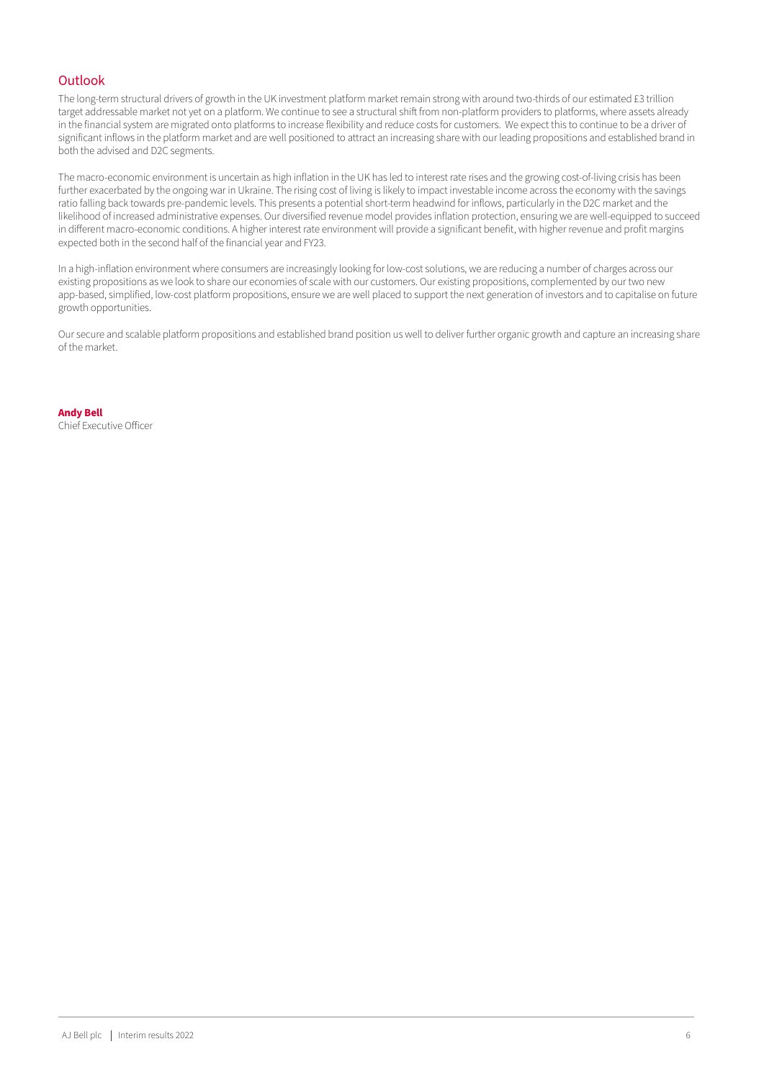#### Outlook

The long-term structural drivers of growth in the UK investment platform market remain strong with around two-thirds of our estimated £3 trillion target addressable market not yet on a platform. We continue to see a structural shift from non-platform providers to platforms, where assets already in the financial system are migrated onto platforms to increase flexibility and reduce costs for customers. We expect this to continue to be a driver of significant inflows in the platform market and are well positioned to attract an increasing share with our leading propositions and established brand in both the advised and D2C segments.

The macro-economic environment is uncertain as high inflation in the UK has led to interest rate rises and the growing cost-of-living crisis has been further exacerbated by the ongoing war in Ukraine. The rising cost of living is likely to impact investable income across the economy with the savings ratio falling back towards pre-pandemic levels. This presents a potential short-term headwind for inflows, particularly in the D2C market and the likelihood of increased administrative expenses. Our diversified revenue model provides inflation protection, ensuring we are well-equipped to succeed in different macro-economic conditions. A higher interest rate environment will provide a significant benefit, with higher revenue and profit margins expected both in the second half of the financial year and FY23.

In a high-inflation environment where consumers are increasingly looking for low-cost solutions, we are reducing a number of charges across our existing propositions as we look to share our economies of scale with our customers. Our existing propositions, complemented by our two new app-based, simplified, low-cost platform propositions, ensure we are well placed to support the next generation of investors and to capitalise on future growth opportunities.

Our secure and scalable platform propositions and established brand position us well to deliver further organic growth and capture an increasing share of the market.

**Andy Bell** Chief Executive Officer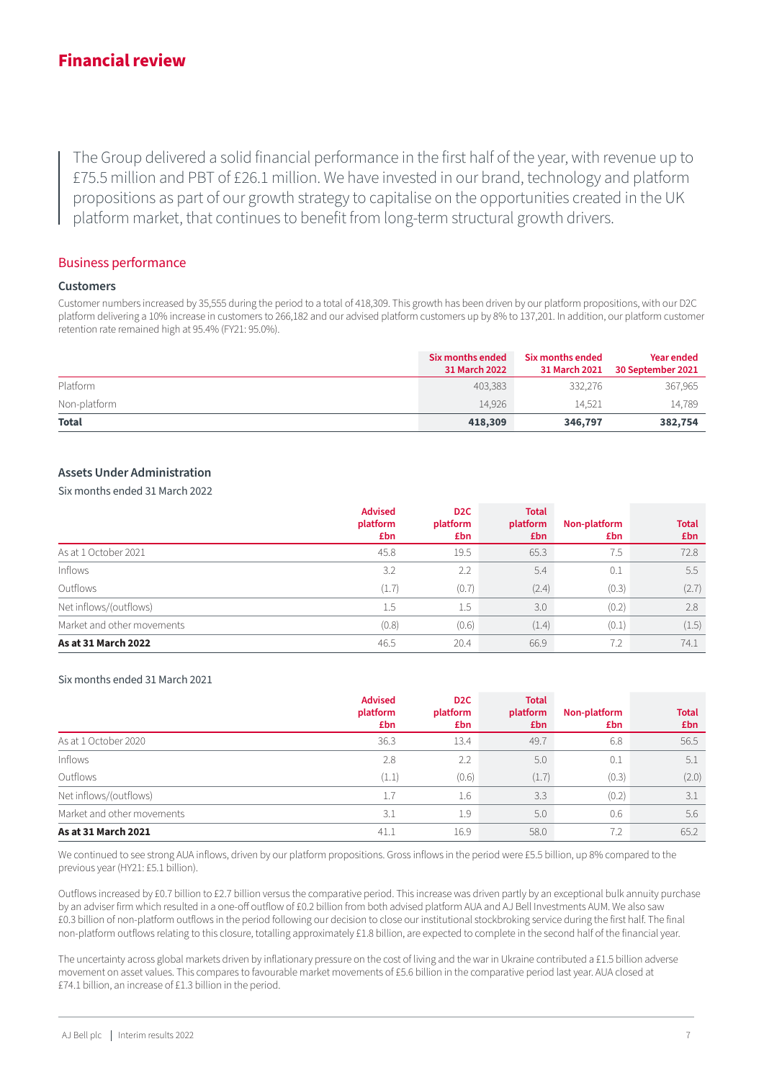# **Financial review**

The Group delivered a solid financial performance in the first half of the year, with revenue up to £75.5 million and PBT of £26.1 million. We have invested in our brand, technology and platform propositions as part of our growth strategy to capitalise on the opportunities created in the UK proper continuously that continues to benefit from long-term structural growth drivers.

#### Business performance

#### **Customers**

Customer numbers increased by 35,555 during the period to a total of 418,309. This growth has been driven by our platform propositions, with our D2C platform delivering a 10% increase in customers to 266,182 and our advised platform customers up by 8% to 137,201. In addition, our platform customer retention rate remained high at 95.4% (FY21: 95.0%).

|              | Six months ended<br>31 March 2022 | Six months ended<br>31 March 2021 | Year ended<br>30 September 2021 |
|--------------|-----------------------------------|-----------------------------------|---------------------------------|
| Platform     | 403.383                           | 332,276                           | 367,965                         |
| Non-platform | 14.926                            | 14.521                            | 14.789                          |
| <b>Total</b> | 418,309                           | 346,797                           | 382,754                         |

#### **Assets Under Administration**

Six months ended 31 March 2022

|                            | <b>Advised</b>  | D <sub>2</sub> C | <b>Total</b>    |                     |                     |  |
|----------------------------|-----------------|------------------|-----------------|---------------------|---------------------|--|
|                            | platform<br>£bn | platform<br>£bn  | platform<br>£bn | Non-platform<br>£bn | <b>Total</b><br>£bn |  |
| As at 1 October 2021       | 45.8            | 19.5             | 65.3            | 7.5                 | 72.8                |  |
| Inflows                    | 3.2             | 2.2              | 5.4             | 0.1                 | 5.5                 |  |
| Outflows                   | (1.7)           | (0.7)            | (2.4)           | (0.3)               | (2.7)               |  |
| Net inflows/(outflows)     | 1.5             | $1.5\,$          | 3.0             | (0.2)               | 2.8                 |  |
| Market and other movements | (0.8)           | (0.6)            | (1.4)           | (0.1)               | (1.5)               |  |
| As at 31 March 2022        | 46.5            | 20.4             | 66.9            | 7.2                 | 74.1                |  |

#### Six months ended 31 March 2021

|                            | <b>Advised</b><br>platform<br>£bn | D <sub>2</sub> C<br>platform<br>£bn | <b>Total</b><br>platform<br>£bn | Non-platform<br>£bn | <b>Total</b><br>£bn |
|----------------------------|-----------------------------------|-------------------------------------|---------------------------------|---------------------|---------------------|
| As at 1 October 2020       | 36.3                              | 13.4                                | 49.7                            | 6.8                 | 56.5                |
| Inflows                    | 2.8                               | 2.2                                 | 5.0                             | 0.1                 | 5.1                 |
| Outflows                   | (1.1)                             | (0.6)                               | (1.7)                           | (0.3)               | (2.0)               |
| Net inflows/(outflows)     | 1.7                               | 1.6                                 | 3.3                             | (0.2)               | 3.1                 |
| Market and other movements | 3.1                               | 1.9                                 | 5.0                             | 0.6                 | 5.6                 |
| As at 31 March 2021        | 41.1                              | 16.9                                | 58.0                            | 7.2                 | 65.2                |

We continued to see strong AUA inflows, driven by our platform propositions. Gross inflows in the period were £5.5 billion, up 8% compared to the previous year (HY21: £5.1 billion).

Outflows increased by £0.7 billion to £2.7 billion versus the comparative period. This increase was driven partly by an exceptional bulk annuity purchase by an adviser firm which resulted in a one-off outflow of £0.2 billion from both advised platform AUA and AJ Bell Investments AUM. We also saw £0.3 billion of non-platform outflows in the period following our decision to close our institutional stockbroking service during the first half. The final non-platform outflows relating to this closure, totalling approximately £1.8 billion, are expected to complete in the second half of the financial year.

The uncertainty across global markets driven by inflationary pressure on the cost of living and the war in Ukraine contributed a £1.5 billion adverse movement on asset values. This compares to favourable market movements of £5.6 billion in the comparative period last year. AUA closed at £74.1 billion, an increase of £1.3 billion in the period.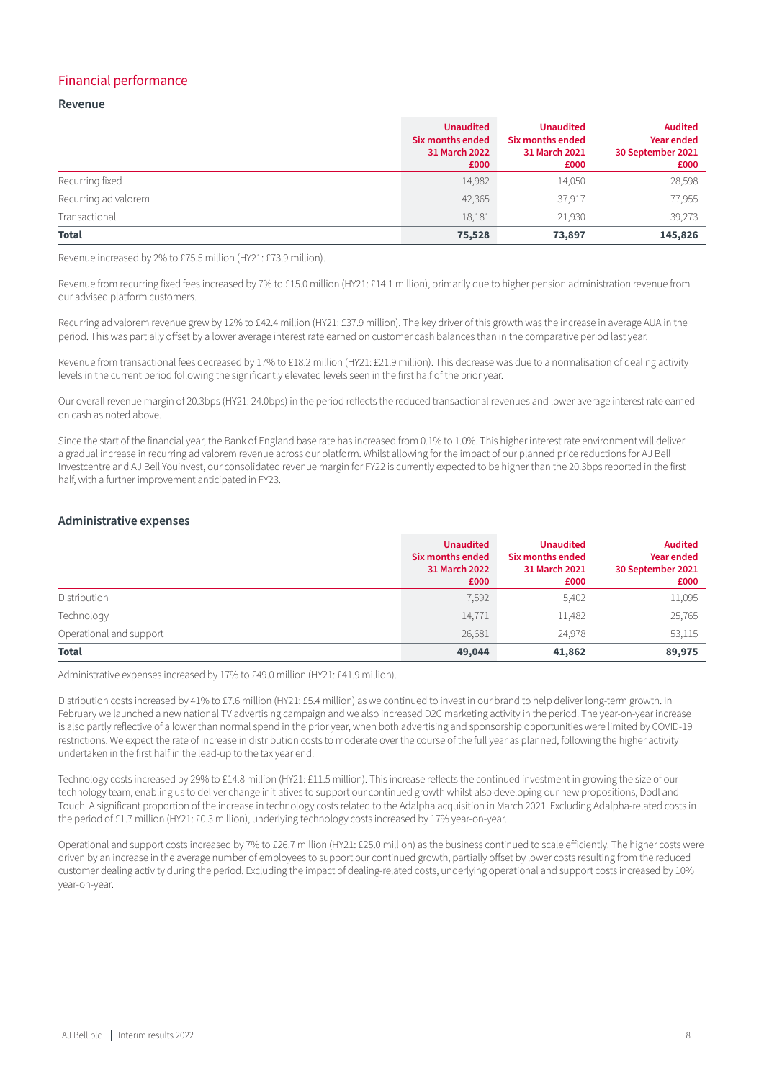#### Financial performance

#### **Revenue**

|                      | <b>Unaudited</b><br>Six months ended<br>31 March 2022<br>£000 | <b>Unaudited</b><br>Six months ended<br>31 March 2021<br>£000 | <b>Audited</b><br><b>Year ended</b><br>30 September 2021<br>£000 |
|----------------------|---------------------------------------------------------------|---------------------------------------------------------------|------------------------------------------------------------------|
| Recurring fixed      | 14,982                                                        | 14,050                                                        | 28,598                                                           |
| Recurring ad valorem | 42,365                                                        | 37,917                                                        | 77,955                                                           |
| Transactional        | 18,181                                                        | 21,930                                                        | 39,273                                                           |
| <b>Total</b>         | 75,528                                                        | 73,897                                                        | 145,826                                                          |

Revenue increased by 2% to £75.5 million (HY21: £73.9 million).

Revenue from recurring fixed fees increased by 7% to £15.0 million (HY21: £14.1 million), primarily due to higher pension administration revenue from our advised platform customers.

Recurring ad valorem revenue grew by 12% to £42.4 million (HY21: £37.9 million). The key driver of this growth was the increase in average AUA in the period. This was partially offset by a lower average interest rate earned on customer cash balances than in the comparative period last year.

Revenue from transactional fees decreased by 17% to £18.2 million (HY21: £21.9 million). This decrease was due to a normalisation of dealing activity levels in the current period following the significantly elevated levels seen in the first half of the prior year.

Our overall revenue margin of 20.3bps (HY21: 24.0bps) in the period reflects the reduced transactional revenues and lower average interest rate earned on cash as noted above.

Since the start of the financial year, the Bank of England base rate has increased from 0.1% to 1.0%. This higher interest rate environment will deliver a gradual increase in recurring ad valorem revenue across our platform. Whilst allowing for the impact of our planned price reductions for AJ Bell Investcentre and AJ Bell Youinvest, our consolidated revenue margin for FY22 is currently expected to be higher than the 20.3bps reported in the first half, with a further improvement anticipated in FY23.

#### **Administrative expenses**

|                         | <b>Unaudited</b><br>Six months ended<br>31 March 2022<br>£000 | <b>Unaudited</b><br>Six months ended<br>31 March 2021<br>£000 | <b>Audited</b><br><b>Year ended</b><br>30 September 2021<br>£000 |
|-------------------------|---------------------------------------------------------------|---------------------------------------------------------------|------------------------------------------------------------------|
| Distribution            | 7,592                                                         | 5,402                                                         | 11,095                                                           |
| Technology              | 14,771                                                        | 11,482                                                        | 25,765                                                           |
| Operational and support | 26,681                                                        | 24,978                                                        | 53,115                                                           |
| <b>Total</b>            | 49,044                                                        | 41,862                                                        | 89,975                                                           |

Administrative expenses increased by 17% to £49.0 million (HY21: £41.9 million).

Distribution costs increased by 41% to £7.6 million (HY21: £5.4 million) as we continued to invest in our brand to help deliver long-term growth. In February we launched a new national TV advertising campaign and we also increased D2C marketing activity in the period. The year-on-year increase is also partly reflective of a lower than normal spend in the prior year, when both advertising and sponsorship opportunities were limited by COVID-19 restrictions. We expect the rate of increase in distribution costs to moderate over the course of the full year as planned, following the higher activity undertaken in the first half in the lead-up to the tax year end.

Technology costs increased by 29% to £14.8 million (HY21: £11.5 million). This increase reflects the continued investment in growing the size of our technology team, enabling us to deliver change initiatives to support our continued growth whilst also developing our new propositions, Dodl and Touch. A significant proportion of the increase in technology costs related to the Adalpha acquisition in March 2021. Excluding Adalpha-related costs in the period of £1.7 million (HY21: £0.3 million), underlying technology costs increased by 17% year-on-year.

Operational and support costs increased by 7% to £26.7 million (HY21: £25.0 million) as the business continued to scale efficiently. The higher costs were driven by an increase in the average number of employees to support our continued growth, partially offset by lower costs resulting from the reduced customer dealing activity during the period. Excluding the impact of dealing-related costs, underlying operational and support costs increased by 10% year-on-year.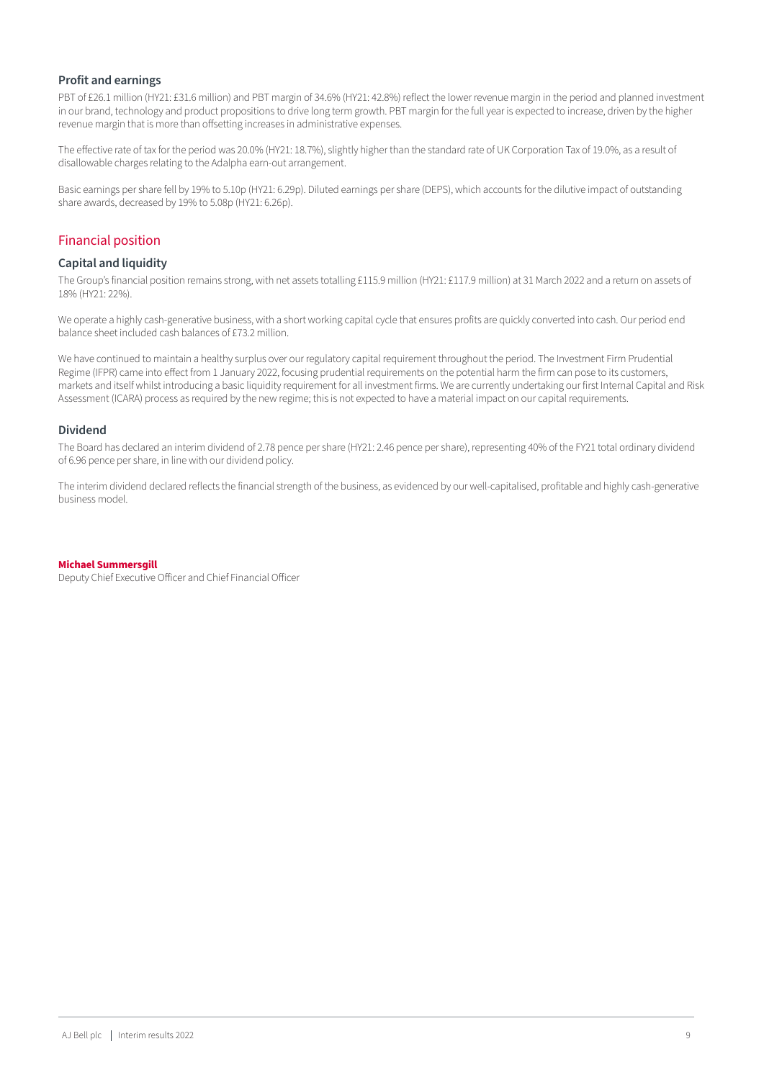#### **Profit and earnings**

PBT of £26.1 million (HY21: £31.6 million) and PBT margin of 34.6% (HY21: 42.8%) reflect the lower revenue margin in the period and planned investment in our brand, technology and product propositions to drive long term growth. PBT margin for the full year is expected to increase, driven by the higher revenue margin that is more than offsetting increases in administrative expenses.

The effective rate of tax for the period was 20.0% (HY21: 18.7%), slightly higher than the standard rate of UK Corporation Tax of 19.0%, as a result of disallowable charges relating to the Adalpha earn-out arrangement.

Basic earnings per share fell by 19% to 5.10p (HY21: 6.29p). Diluted earnings per share (DEPS), which accounts for the dilutive impact of outstanding share awards, decreased by 19% to 5.08p (HY21: 6.26p).

#### Financial position

#### **Capital and liquidity**

The Group's financial position remains strong, with net assets totalling £115.9 million (HY21: £117.9 million) at 31 March 2022 and a return on assets of 18% (HY21: 22%).

We operate a highly cash-generative business, with a short working capital cycle that ensures profits are quickly converted into cash. Our period end balance sheet included cash balances of £73.2 million.

We have continued to maintain a healthy surplus over our regulatory capital requirement throughout the period. The Investment Firm Prudential Regime (IFPR) came into effect from 1 January 2022, focusing prudential requirements on the potential harm the firm can pose to its customers, markets and itself whilst introducing a basic liquidity requirement for all investment firms. We are currently undertaking our first Internal Capital and Risk Assessment (ICARA) process as required by the new regime; this is not expected to have a material impact on our capital requirements.

#### **Dividend**

The Board has declared an interim dividend of 2.78 pence per share (HY21: 2.46 pence per share), representing 40% of the FY21 total ordinary dividend of 6.96 pence per share, in line with our dividend policy.

The interim dividend declared reflects the financial strength of the business, as evidenced by our well-capitalised, profitable and highly cash-generative business model.

#### **Michael Summersgill**

Deputy Chief Executive Officer and Chief Financial Officer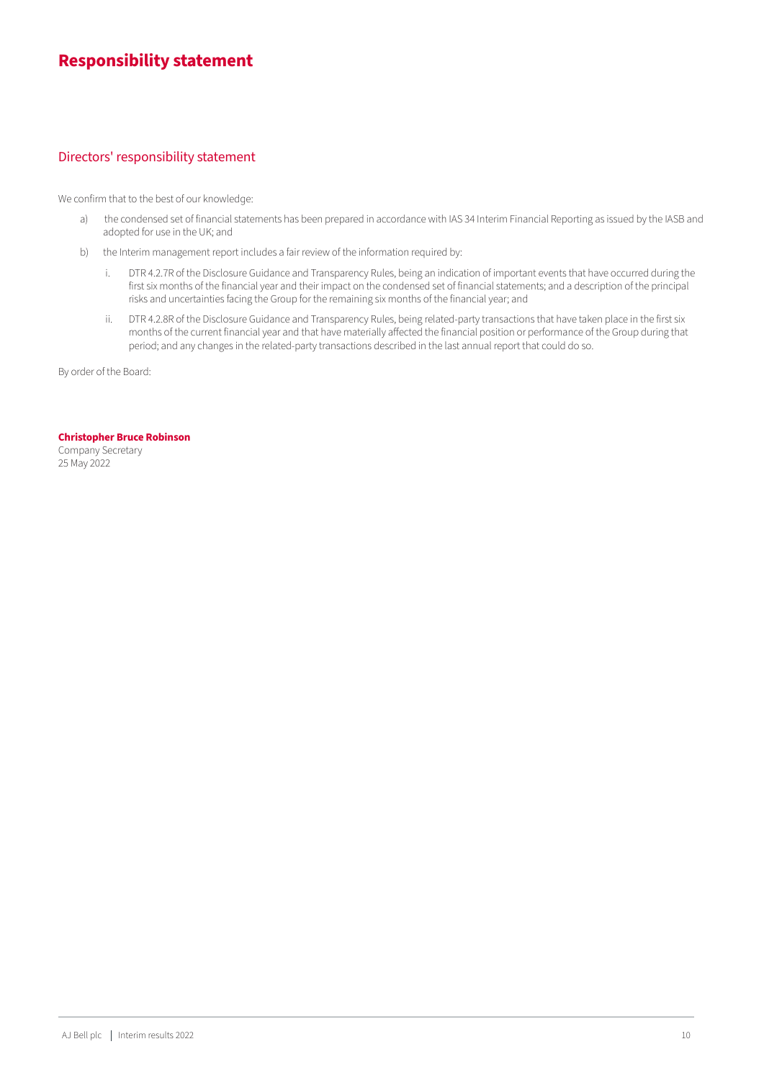# **Responsibility statement**

#### Directors' responsibility statement

We confirm that to the best of our knowledge:

- a) the condensed set of financial statements has been prepared in accordance with IAS 34 Interim Financial Reporting as issued by the IASB and adopted for use in the UK; and
- b) the Interim management report includes a fair review of the information required by:
	- i. DTR 4.2.7R of the Disclosure Guidance and Transparency Rules, being an indication of important events that have occurred during the first six months of the financial year and their impact on the condensed set of financial statements; and a description of the principal risks and uncertainties facing the Group for the remaining six months of the financial year; and
	- ii. DTR 4.2.8R of the Disclosure Guidance and Transparency Rules, being related-party transactions that have taken place in the first six months of the current financial year and that have materially affected the financial position or performance of the Group during that period; and any changes in the related-party transactions described in the last annual report that could do so.

By order of the Board:

#### **Christopher Bruce Robinson**

Company Secretary 25 May 2022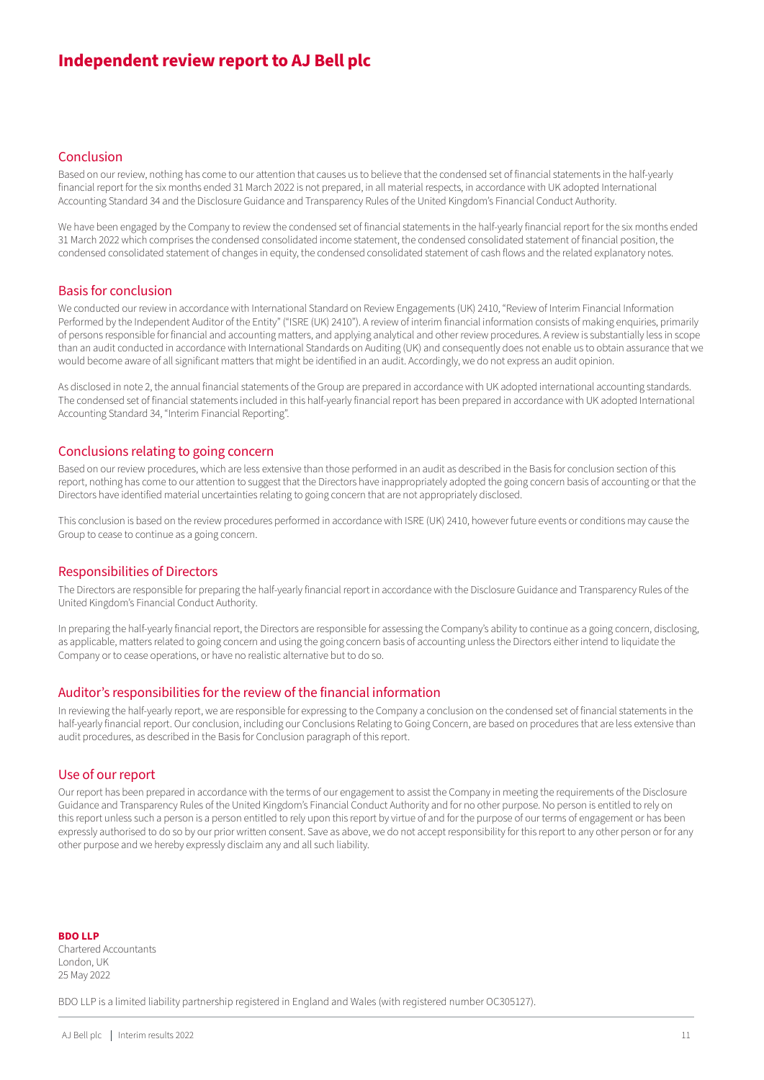# **Independent review report to AJ Bell plc**

#### Conclusion

Based on our review, nothing has come to our attention that causes us to believe that the condensed set of financial statements in the half-yearly financial report for the six months ended 31 March 2022 is not prepared, in all material respects, in accordance with UK adopted International Accounting Standard 34 and the Disclosure Guidance and Transparency Rules of the United Kingdom's Financial Conduct Authority.

We have been engaged by the Company to review the condensed set of financial statements in the half-yearly financial report for the six months ended 31 March 2022 which comprises the condensed consolidated income statement, the condensed consolidated statement of financial position, the condensed consolidated statement of changes in equity, the condensed consolidated statement of cash flows and the related explanatory notes.

#### Basis for conclusion

We conducted our review in accordance with International Standard on Review Engagements (UK) 2410, "Review of Interim Financial Information Performed by the Independent Auditor of the Entity" ("ISRE (UK) 2410"). A review of interim financial information consists of making enquiries, primarily of persons responsible for financial and accounting matters, and applying analytical and other review procedures. A review is substantially less in scope than an audit conducted in accordance with International Standards on Auditing (UK) and consequently does not enable us to obtain assurance that we would become aware of all significant matters that might be identified in an audit. Accordingly, we do not express an audit opinion.

As disclosed in note 2, the annual financial statements of the Group are prepared in accordance with UK adopted international accounting standards. The condensed set of financial statements included in this half-yearly financial report has been prepared in accordance with UK adopted International Accounting Standard 34, "Interim Financial Reporting".

#### Conclusions relating to going concern

Based on our review procedures, which are less extensive than those performed in an audit as described in the Basis for conclusion section of this report, nothing has come to our attention to suggest that the Directors have inappropriately adopted the going concern basis of accounting or that the Directors have identified material uncertainties relating to going concern that are not appropriately disclosed.

This conclusion is based on the review procedures performed in accordance with ISRE (UK) 2410, however future events or conditions may cause the Group to cease to continue as a going concern.

#### Responsibilities of Directors

The Directors are responsible for preparing the half-yearly financial report in accordance with the Disclosure Guidance and Transparency Rules of the United Kingdom's Financial Conduct Authority.

In preparing the half-yearly financial report, the Directors are responsible for assessing the Company's ability to continue as a going concern, disclosing, as applicable, matters related to going concern and using the going concern basis of accounting unless the Directors either intend to liquidate the Company or to cease operations, or have no realistic alternative but to do so.

#### Auditor's responsibilities for the review of the financial information

In reviewing the half-yearly report, we are responsible for expressing to the Company a conclusion on the condensed set of financial statements in the half-yearly financial report. Our conclusion, including our Conclusions Relating to Going Concern, are based on procedures that are less extensive than audit procedures, as described in the Basis for Conclusion paragraph of this report.

#### Use of our report

Our report has been prepared in accordance with the terms of our engagement to assist the Company in meeting the requirements of the Disclosure Guidance and Transparency Rules of the United Kingdom's Financial Conduct Authority and for no other purpose. No person is entitled to rely on this report unless such a person is a person entitled to rely upon this report by virtue of and for the purpose of our terms of engagement or has been expressly authorised to do so by our prior written consent. Save as above, we do not accept responsibility for this report to any other person or for any other purpose and we hereby expressly disclaim any and all such liability.

**BDO LLP** Chartered Accountants London, UK 25 May 2022

BDO LLP is a limited liability partnership registered in England and Wales (with registered number OC305127).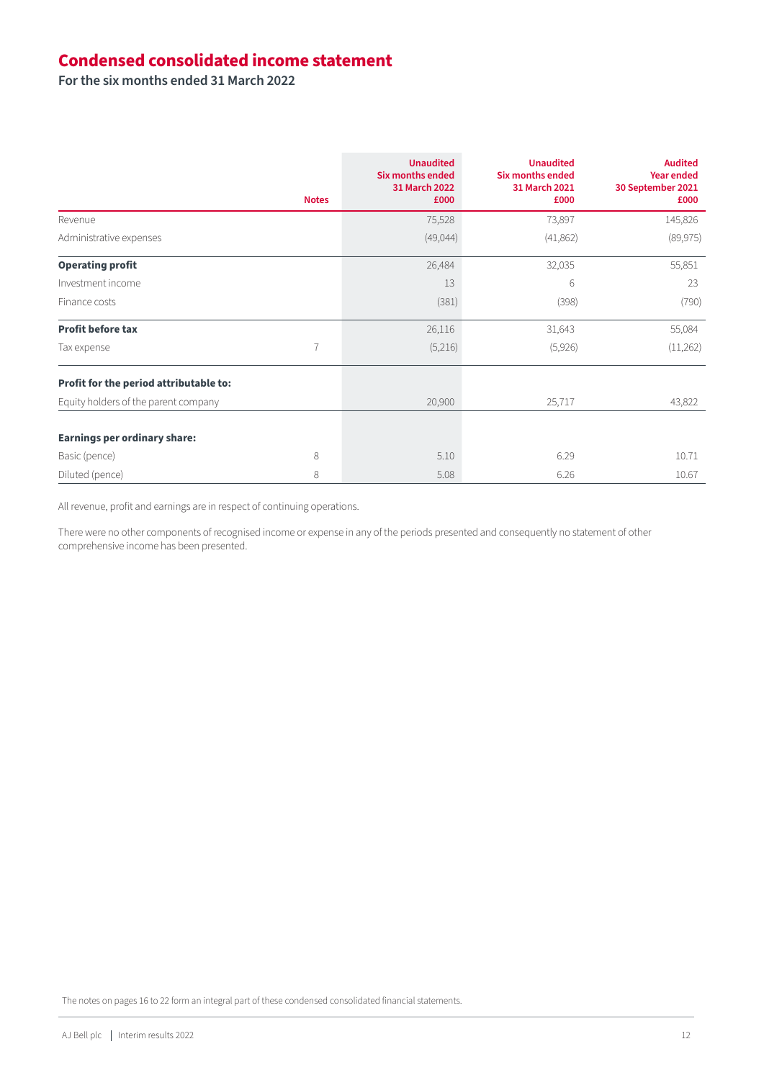# **Condensed consolidated income statement**

**For the six months ended 31 March 2022**

|                                        | <b>Notes</b> | <b>Unaudited</b><br><b>Six months ended</b><br>31 March 2022<br>£000 | <b>Unaudited</b><br><b>Six months ended</b><br>31 March 2021<br>£000 | <b>Audited</b><br><b>Year ended</b><br>30 September 2021<br>£000 |
|----------------------------------------|--------------|----------------------------------------------------------------------|----------------------------------------------------------------------|------------------------------------------------------------------|
| Revenue                                |              | 75,528                                                               | 73,897                                                               | 145,826                                                          |
| Administrative expenses                |              | (49,044)                                                             | (41,862)                                                             | (89, 975)                                                        |
| <b>Operating profit</b>                |              | 26,484                                                               | 32,035                                                               | 55,851                                                           |
| Investment income                      |              | 13                                                                   | 6                                                                    | 23                                                               |
| Finance costs                          |              | (381)                                                                | (398)                                                                | (790)                                                            |
| <b>Profit before tax</b>               |              | 26,116                                                               | 31,643                                                               | 55,084                                                           |
| Tax expense                            | 7            | (5,216)                                                              | (5,926)                                                              | (11,262)                                                         |
| Profit for the period attributable to: |              |                                                                      |                                                                      |                                                                  |
| Equity holders of the parent company   |              | 20,900                                                               | 25,717                                                               | 43,822                                                           |
| <b>Earnings per ordinary share:</b>    |              |                                                                      |                                                                      |                                                                  |
| Basic (pence)                          | 8            | 5.10                                                                 | 6.29                                                                 | 10.71                                                            |
| Diluted (pence)                        | 8            | 5.08                                                                 | 6.26                                                                 | 10.67                                                            |

All revenue, profit and earnings are in respect of continuing operations.

There were no other components of recognised income or expense in any of the periods presented and consequently no statement of other comprehensive income has been presented.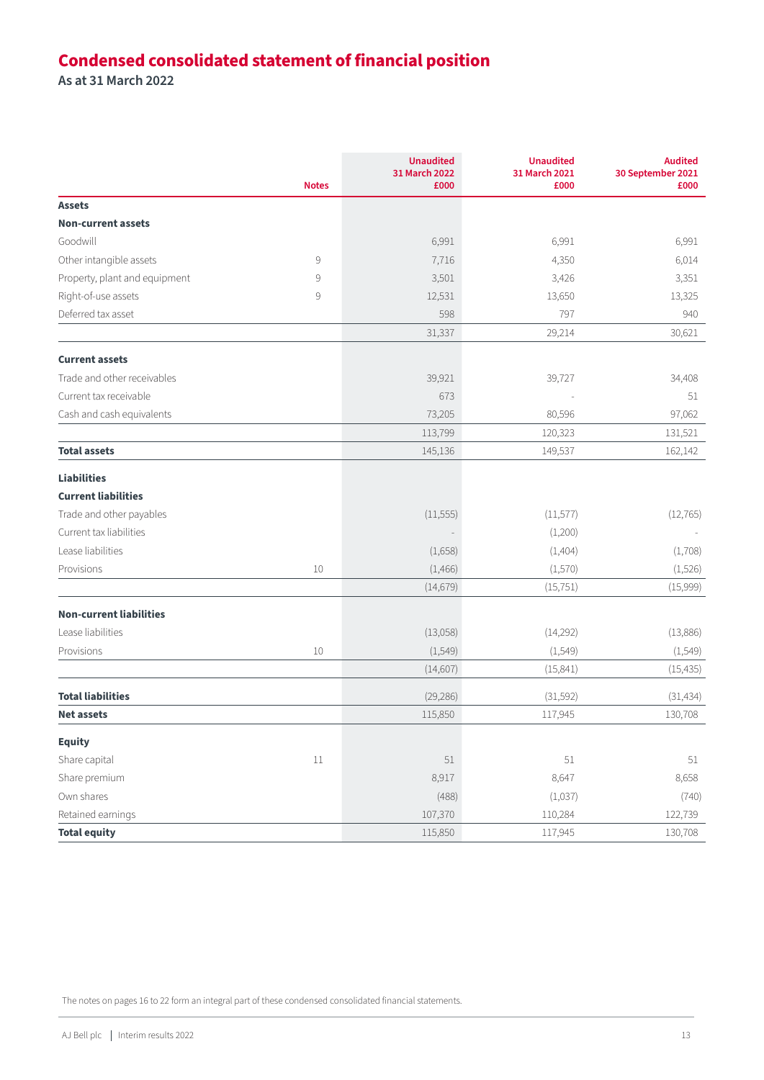# **Condensed consolidated statement of financial position**

**As at 31 March 2022**

|                                | <b>Notes</b> | <b>Unaudited</b><br>31 March 2022<br>£000 | <b>Unaudited</b><br>31 March 2021<br>£000 | <b>Audited</b><br>30 September 2021<br>£000 |
|--------------------------------|--------------|-------------------------------------------|-------------------------------------------|---------------------------------------------|
| <b>Assets</b>                  |              |                                           |                                           |                                             |
| <b>Non-current assets</b>      |              |                                           |                                           |                                             |
| Goodwill                       |              | 6,991                                     | 6,991                                     | 6,991                                       |
| Other intangible assets        | 9            | 7,716                                     | 4,350                                     | 6,014                                       |
| Property, plant and equipment  | 9            | 3,501                                     | 3,426                                     | 3,351                                       |
| Right-of-use assets            | 9            | 12,531                                    | 13,650                                    | 13,325                                      |
| Deferred tax asset             |              | 598                                       | 797                                       | 940                                         |
|                                |              | 31,337                                    | 29,214                                    | 30,621                                      |
| <b>Current assets</b>          |              |                                           |                                           |                                             |
| Trade and other receivables    |              | 39,921                                    | 39,727                                    | 34,408                                      |
| Current tax receivable         |              | 673                                       |                                           | 51                                          |
| Cash and cash equivalents      |              | 73,205                                    | 80,596                                    | 97,062                                      |
|                                |              | 113,799                                   | 120,323                                   | 131,521                                     |
| <b>Total assets</b>            |              | 145,136                                   | 149,537                                   | 162,142                                     |
| <b>Liabilities</b>             |              |                                           |                                           |                                             |
| <b>Current liabilities</b>     |              |                                           |                                           |                                             |
| Trade and other payables       |              | (11, 555)                                 | (11, 577)                                 | (12, 765)                                   |
| Current tax liabilities        |              |                                           | (1,200)                                   |                                             |
| Lease liabilities              |              | (1,658)                                   | (1,404)                                   | (1,708)                                     |
| Provisions                     | 10           | (1, 466)                                  | (1,570)                                   | (1,526)                                     |
|                                |              | (14, 679)                                 | (15, 751)                                 | (15,999)                                    |
| <b>Non-current liabilities</b> |              |                                           |                                           |                                             |
| Lease liabilities              |              | (13,058)                                  | (14,292)                                  | (13,886)                                    |
| Provisions                     | 10           | (1, 549)                                  | (1, 549)                                  | (1, 549)                                    |
|                                |              | (14,607)                                  | (15, 841)                                 | (15, 435)                                   |
| <b>Total liabilities</b>       |              | (29, 286)                                 | (31,592)                                  | (31, 434)                                   |
| <b>Net assets</b>              |              | 115,850                                   | 117,945                                   | 130,708                                     |
| <b>Equity</b>                  |              |                                           |                                           |                                             |
| Share capital                  | $11\,$       | 51                                        | 51                                        | 51                                          |
| Share premium                  |              | 8,917                                     | 8,647                                     | 8,658                                       |
| Own shares                     |              | (488)                                     | (1,037)                                   | (740)                                       |
| Retained earnings              |              | 107,370                                   | 110,284                                   | 122,739                                     |
| <b>Total equity</b>            |              | 115,850                                   | 117,945                                   | 130,708                                     |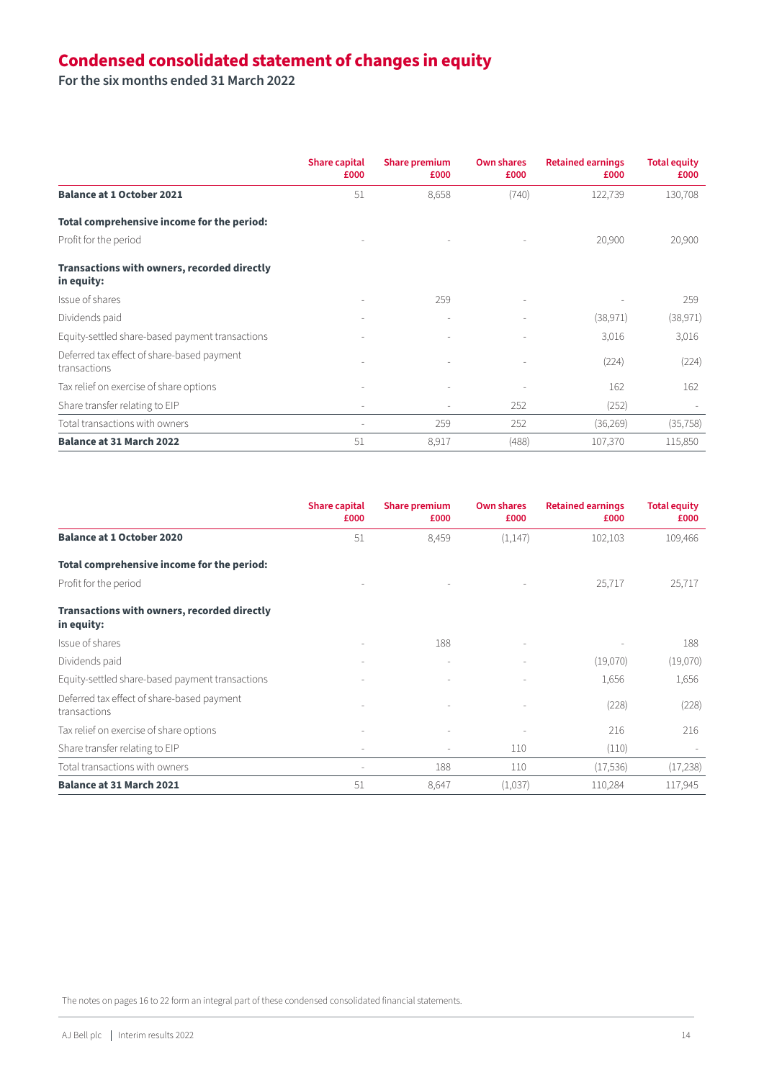# **Condensed consolidated statement of changes in equity**

**For the six months ended 31 March 2022**

|                                                                  | <b>Share capital</b><br>£000 | <b>Share premium</b><br>£000 | <b>Own shares</b><br>£000 | <b>Retained earnings</b><br>£000 | <b>Total equity</b><br>£000 |
|------------------------------------------------------------------|------------------------------|------------------------------|---------------------------|----------------------------------|-----------------------------|
| <b>Balance at 1 October 2021</b>                                 | 51                           | 8,658                        | (740)                     | 122,739                          | 130,708                     |
| Total comprehensive income for the period:                       |                              |                              |                           |                                  |                             |
| Profit for the period                                            |                              |                              |                           | 20,900                           | 20,900                      |
| <b>Transactions with owners, recorded directly</b><br>in equity: |                              |                              |                           |                                  |                             |
| Issue of shares                                                  |                              | 259                          |                           |                                  | 259                         |
| Dividends paid                                                   |                              |                              |                           | (38, 971)                        | (38, 971)                   |
| Equity-settled share-based payment transactions                  |                              |                              |                           | 3,016                            | 3,016                       |
| Deferred tax effect of share-based payment<br>transactions       |                              | ٠                            |                           | (224)                            | (224)                       |
| Tax relief on exercise of share options                          |                              |                              |                           | 162                              | 162                         |
| Share transfer relating to EIP                                   | ٠                            | $\overline{\phantom{a}}$     | 252                       | (252)                            |                             |
| Total transactions with owners                                   | $\overline{\phantom{a}}$     | 259                          | 252                       | (36, 269)                        | (35, 758)                   |
| <b>Balance at 31 March 2022</b>                                  | 51                           | 8,917                        | (488)                     | 107,370                          | 115,850                     |

|                                                                  | <b>Share capital</b><br>£000 | <b>Share premium</b><br>£000 | <b>Own shares</b><br>£000 | <b>Retained earnings</b><br>£000 | <b>Total equity</b><br>£000 |
|------------------------------------------------------------------|------------------------------|------------------------------|---------------------------|----------------------------------|-----------------------------|
| <b>Balance at 1 October 2020</b>                                 | 51                           | 8,459                        | (1, 147)                  | 102,103                          | 109,466                     |
| Total comprehensive income for the period:                       |                              |                              |                           |                                  |                             |
| Profit for the period                                            |                              |                              |                           | 25,717                           | 25,717                      |
| <b>Transactions with owners, recorded directly</b><br>in equity: |                              |                              |                           |                                  |                             |
| Issue of shares                                                  |                              | 188                          |                           |                                  | 188                         |
| Dividends paid                                                   |                              |                              |                           | (19,070)                         | (19,070)                    |
| Equity-settled share-based payment transactions                  |                              |                              |                           | 1,656                            | 1,656                       |
| Deferred tax effect of share-based payment<br>transactions       |                              |                              |                           | (228)                            | (228)                       |
| Tax relief on exercise of share options                          |                              |                              |                           | 216                              | 216                         |
| Share transfer relating to EIP                                   |                              |                              | 110                       | (110)                            |                             |
| Total transactions with owners                                   | $\overline{\phantom{a}}$     | 188                          | 110                       | (17, 536)                        | (17,238)                    |
| <b>Balance at 31 March 2021</b>                                  | 51                           | 8,647                        | (1,037)                   | 110,284                          | 117,945                     |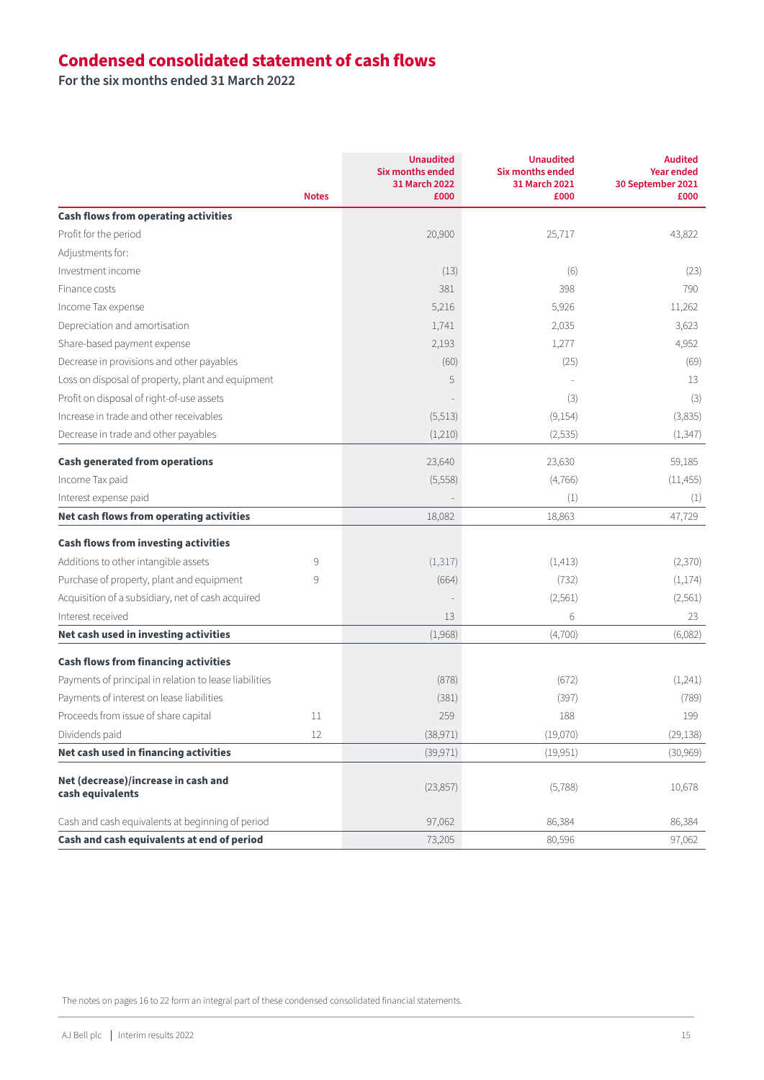# **Condensed consolidated statement of cash flows**

**For the six months ended 31 March 2022**

|                                                         | <b>Notes</b> | <b>Unaudited</b><br><b>Six months ended</b><br>31 March 2022<br>£000 | <b>Unaudited</b><br>Six months ended<br>31 March 2021<br>£000 | <b>Audited</b><br><b>Year ended</b><br>30 September 2021<br>£000 |
|---------------------------------------------------------|--------------|----------------------------------------------------------------------|---------------------------------------------------------------|------------------------------------------------------------------|
| <b>Cash flows from operating activities</b>             |              |                                                                      |                                                               |                                                                  |
| Profit for the period                                   |              | 20,900                                                               | 25,717                                                        | 43,822                                                           |
| Adjustments for:                                        |              |                                                                      |                                                               |                                                                  |
| Investment income                                       |              | (13)                                                                 | (6)                                                           | (23)                                                             |
| Finance costs                                           |              | 381                                                                  | 398                                                           | 790                                                              |
| Income Tax expense                                      |              | 5,216                                                                | 5,926                                                         | 11,262                                                           |
| Depreciation and amortisation                           |              | 1,741                                                                | 2,035                                                         | 3,623                                                            |
| Share-based payment expense                             |              | 2,193                                                                | 1,277                                                         | 4,952                                                            |
| Decrease in provisions and other payables               |              | (60)                                                                 | (25)                                                          | (69)                                                             |
| Loss on disposal of property, plant and equipment       |              | 5                                                                    |                                                               | 13                                                               |
| Profit on disposal of right-of-use assets               |              |                                                                      | (3)                                                           | (3)                                                              |
| Increase in trade and other receivables                 |              | (5,513)                                                              | (9,154)                                                       | (3,835)                                                          |
| Decrease in trade and other payables                    |              | (1,210)                                                              | (2,535)                                                       | (1, 347)                                                         |
| <b>Cash generated from operations</b>                   |              | 23,640                                                               | 23,630                                                        | 59,185                                                           |
| Income Tax paid                                         |              | (5,558)                                                              | (4,766)                                                       | (11, 455)                                                        |
| Interest expense paid                                   |              |                                                                      | (1)                                                           | (1)                                                              |
| Net cash flows from operating activities                |              | 18,082                                                               | 18,863                                                        | 47,729                                                           |
| <b>Cash flows from investing activities</b>             |              |                                                                      |                                                               |                                                                  |
| Additions to other intangible assets                    | 9            | (1, 317)                                                             | (1, 413)                                                      | (2,370)                                                          |
| Purchase of property, plant and equipment               | 9            | (664)                                                                | (732)                                                         | (1,174)                                                          |
| Acquisition of a subsidiary, net of cash acquired       |              |                                                                      | (2, 561)                                                      | (2, 561)                                                         |
| Interest received                                       |              | 13                                                                   | 6                                                             | 23                                                               |
| Net cash used in investing activities                   |              | (1,968)                                                              | (4,700)                                                       | (6,082)                                                          |
| <b>Cash flows from financing activities</b>             |              |                                                                      |                                                               |                                                                  |
| Payments of principal in relation to lease liabilities  |              | (878)                                                                | (672)                                                         | (1,241)                                                          |
| Payments of interest on lease liabilities               |              | (381)                                                                | (397)                                                         | (789)                                                            |
| Proceeds from issue of share capital                    | 11           | 259                                                                  | 188                                                           | 199                                                              |
| Dividends paid                                          | 12           | (38, 971)                                                            | (19,070)                                                      | (29, 138)                                                        |
| Net cash used in financing activities                   |              | (39, 971)                                                            | (19, 951)                                                     | (30, 969)                                                        |
| Net (decrease)/increase in cash and<br>cash equivalents |              | (23, 857)                                                            | (5,788)                                                       | 10,678                                                           |
| Cash and cash equivalents at beginning of period        |              | 97,062                                                               | 86,384                                                        | 86,384                                                           |
| Cash and cash equivalents at end of period              |              | 73,205                                                               | 80,596                                                        | 97,062                                                           |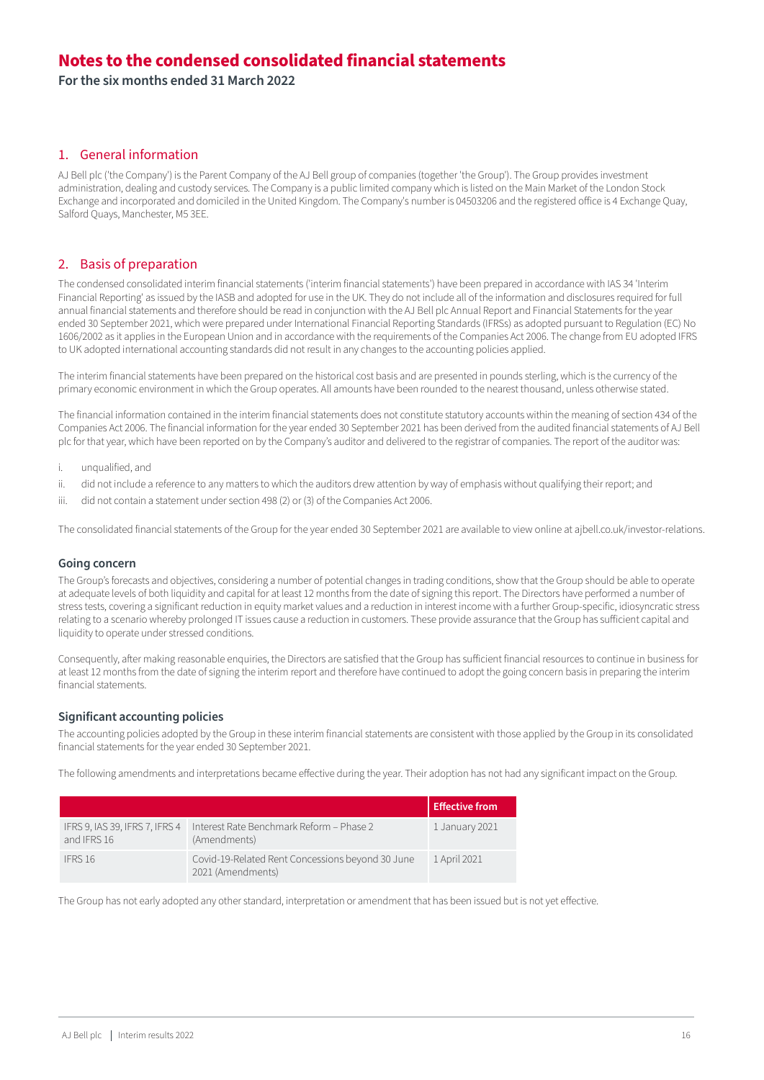**For the six months ended 31 March 2022**

#### 1. General information

AJ Bell plc ('the Company') is the Parent Company of the AJ Bell group of companies (together 'the Group'). The Group provides investment administration, dealing and custody services. The Company is a public limited company which is listed on the Main Market of the London Stock Exchange and incorporated and domiciled in the United Kingdom. The Company's number is 04503206 and the registered office is 4 Exchange Quay, Salford Quays, Manchester, M5 3EE.

#### 2. Basis of preparation

The condensed consolidated interim financial statements ('interim financial statements') have been prepared in accordance with IAS 34 'Interim Financial Reporting' as issued by the IASB and adopted for use in the UK. They do not include all of the information and disclosures required for full annual financial statements and therefore should be read in conjunction with the AJ Bell plc Annual Report and Financial Statements for the year ended 30 September 2021, which were prepared under International Financial Reporting Standards (IFRSs) as adopted pursuant to Regulation (EC) No 1606/2002 as it applies in the European Union and in accordance with the requirements of the Companies Act 2006. The change from EU adopted IFRS to UK adopted international accounting standards did not result in any changes to the accounting policies applied.

The interim financial statements have been prepared on the historical cost basis and are presented in pounds sterling, which is the currency of the primary economic environment in which the Group operates. All amounts have been rounded to the nearest thousand, unless otherwise stated.

The financial information contained in the interim financial statements does not constitute statutory accounts within the meaning of section 434 of the Companies Act 2006. The financial information for the year ended 30 September 2021 has been derived from the audited financial statements of AJ Bell plc for that year, which have been reported on by the Company's auditor and delivered to the registrar of companies. The report of the auditor was:

- i. unqualified, and
- ii. did not include a reference to any matters to which the auditors drew attention by way of emphasis without qualifying their report; and
- iii. did not contain a statement under section 498 (2) or (3) of the Companies Act 2006.

The consolidated financial statements of the Group for the year ended 30 September 2021 are available to view online at ajbell.co.uk/investor-relations.

#### **Going concern**

The Group's forecasts and objectives, considering a number of potential changes in trading conditions, show that the Group should be able to operate at adequate levels of both liquidity and capital for at least 12 months from the date of signing this report. The Directors have performed a number of stress tests, covering a significant reduction in equity market values and a reduction in interest income with a further Group-specific, idiosyncratic stress relating to a scenario whereby prolonged IT issues cause a reduction in customers. These provide assurance that the Group has sufficient capital and liquidity to operate under stressed conditions.

Consequently, after making reasonable enquiries, the Directors are satisfied that the Group has sufficient financial resources to continue in business for at least 12 months from the date of signing the interim report and therefore have continued to adopt the going concern basis in preparing the interim financial statements.

#### **Significant accounting policies**

The accounting policies adopted by the Group in these interim financial statements are consistent with those applied by the Group in its consolidated financial statements for the year ended 30 September 2021.

The following amendments and interpretations became effective during the year. Their adoption has not had any significant impact on the Group.

|                                               |                                                                       | <b>Effective from</b> |
|-----------------------------------------------|-----------------------------------------------------------------------|-----------------------|
| IFRS 9, IAS 39, IFRS 7, IFRS 4<br>and IFRS 16 | Interest Rate Benchmark Reform - Phase 2<br>(Amendments)              | 1 January 2021        |
| IFRS 16                                       | Covid-19-Related Rent Concessions beyond 30 June<br>2021 (Amendments) | 1 April 2021          |

The Group has not early adopted any other standard, interpretation or amendment that has been issued but is not yet effective.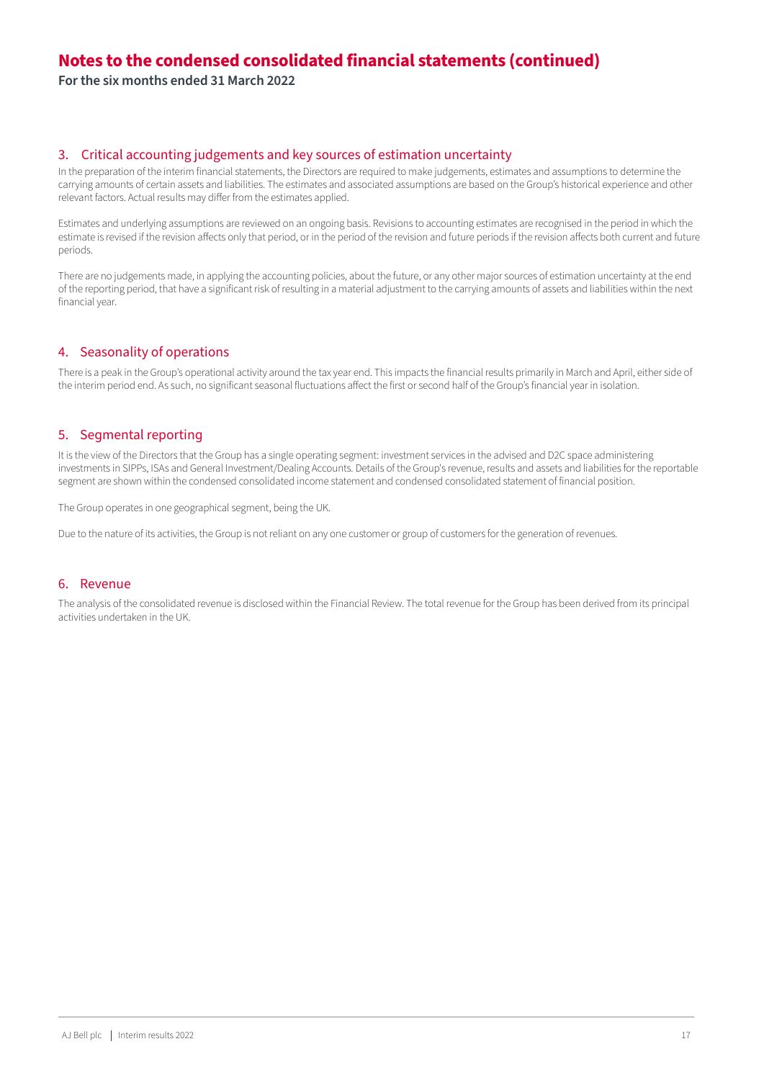**For the six months ended 31 March 2022**

#### 3. Critical accounting judgements and key sources of estimation uncertainty

In the preparation of the interim financial statements, the Directors are required to make judgements, estimates and assumptions to determine the carrying amounts of certain assets and liabilities. The estimates and associated assumptions are based on the Group's historical experience and other relevant factors. Actual results may differ from the estimates applied.

Estimates and underlying assumptions are reviewed on an ongoing basis. Revisions to accounting estimates are recognised in the period in which the estimate is revised if the revision affects only that period, or in the period of the revision and future periods if the revision affects both current and future periods.

There are no judgements made, in applying the accounting policies, about the future, or any other major sources of estimation uncertainty at the end of the reporting period, that have a significant risk of resulting in a material adjustment to the carrying amounts of assets and liabilities within the next financial year.

#### 4. Seasonality of operations

There is a peak in the Group's operational activity around the tax year end. This impacts the financial results primarily in March and April, either side of the interim period end. As such, no significant seasonal fluctuations affect the first or second half of the Group's financial year in isolation.

#### 5. Segmental reporting

It is the view of the Directors that the Group has a single operating segment: investment services in the advised and D2C space administering investments in SIPPs, ISAs and General Investment/Dealing Accounts. Details of the Group's revenue, results and assets and liabilities for the reportable segment are shown within the condensed consolidated income statement and condensed consolidated statement of financial position.

The Group operates in one geographical segment, being the UK.

Due to the nature of its activities, the Group is not reliant on any one customer or group of customers for the generation of revenues.

#### 6. Revenue

The analysis of the consolidated revenue is disclosed within the Financial Review. The total revenue for the Group has been derived from its principal activities undertaken in the UK.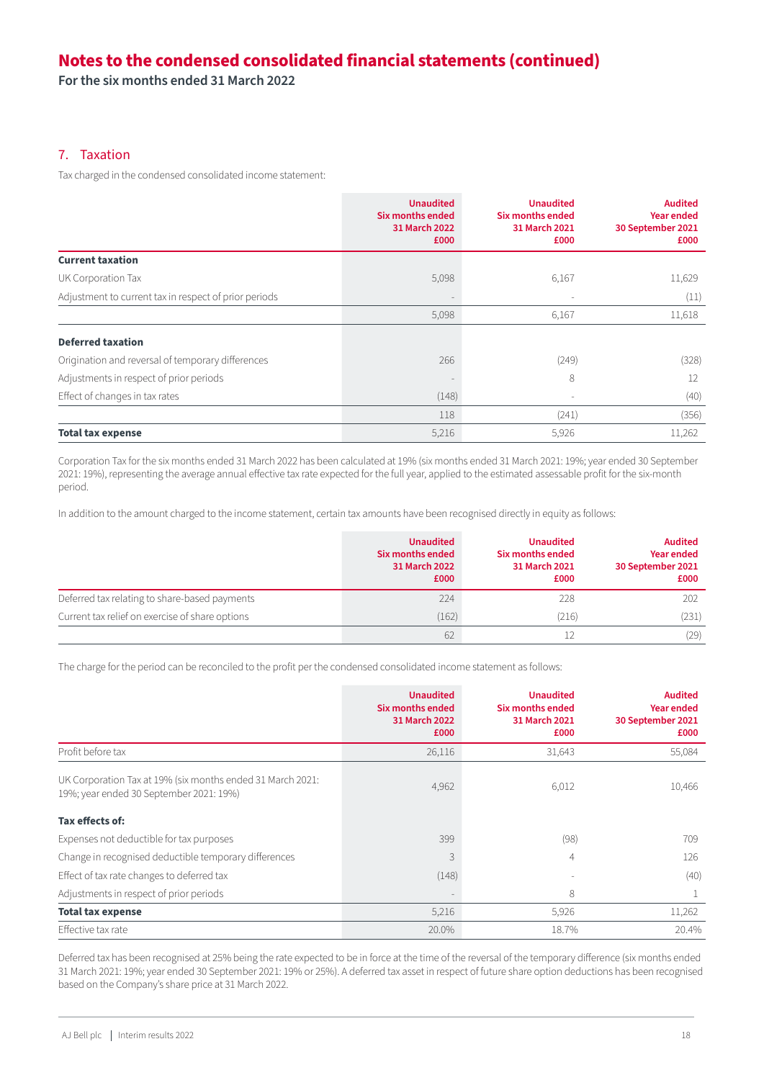**For the six months ended 31 March 2022**

#### 7. Taxation

Tax charged in the condensed consolidated income statement:

|                                                       | <b>Unaudited</b><br>Six months ended<br>31 March 2022<br>£000 | <b>Unaudited</b><br>Six months ended<br>31 March 2021<br>£000 | <b>Audited</b><br><b>Year ended</b><br>30 September 2021<br>£000 |
|-------------------------------------------------------|---------------------------------------------------------------|---------------------------------------------------------------|------------------------------------------------------------------|
| <b>Current taxation</b>                               |                                                               |                                                               |                                                                  |
| UK Corporation Tax                                    | 5,098                                                         | 6,167                                                         | 11,629                                                           |
| Adjustment to current tax in respect of prior periods |                                                               |                                                               | (11)                                                             |
|                                                       | 5,098                                                         | 6,167                                                         | 11,618                                                           |
| <b>Deferred taxation</b>                              |                                                               |                                                               |                                                                  |
| Origination and reversal of temporary differences     | 266                                                           | (249)                                                         | (328)                                                            |
| Adjustments in respect of prior periods               |                                                               | 8                                                             | 12                                                               |
| Effect of changes in tax rates                        | (148)                                                         | ۰                                                             | (40)                                                             |
|                                                       | 118                                                           | (241)                                                         | (356)                                                            |
| <b>Total tax expense</b>                              | 5,216                                                         | 5,926                                                         | 11,262                                                           |

Corporation Tax for the six months ended 31 March 2022 has been calculated at 19% (six months ended 31 March 2021: 19%; year ended 30 September 2021: 19%), representing the average annual effective tax rate expected for the full year, applied to the estimated assessable profit for the six-month period.

In addition to the amount charged to the income statement, certain tax amounts have been recognised directly in equity as follows:

|                                                 | <b>Unaudited</b><br>Six months ended<br>31 March 2022<br>£000 | <b>Unaudited</b><br>Six months ended<br>31 March 2021<br>£000 | <b>Audited</b><br><b>Year ended</b><br>30 September 2021<br>£000 |
|-------------------------------------------------|---------------------------------------------------------------|---------------------------------------------------------------|------------------------------------------------------------------|
| Deferred tax relating to share-based payments   | 224                                                           | 228                                                           | 202                                                              |
| Current tax relief on exercise of share options | (162)                                                         | (216)                                                         | (231)                                                            |
|                                                 | 62                                                            |                                                               | (29)                                                             |

The charge for the period can be reconciled to the profit per the condensed consolidated income statement as follows:

|                                                                                                       | <b>Unaudited</b><br>Six months ended<br>31 March 2022<br>£000 | <b>Unaudited</b><br><b>Six months ended</b><br>31 March 2021<br>£000 | <b>Audited</b><br><b>Year ended</b><br>30 September 2021<br>£000 |
|-------------------------------------------------------------------------------------------------------|---------------------------------------------------------------|----------------------------------------------------------------------|------------------------------------------------------------------|
| Profit before tax                                                                                     | 26,116                                                        | 31,643                                                               | 55,084                                                           |
| UK Corporation Tax at 19% (six months ended 31 March 2021:<br>19%; year ended 30 September 2021: 19%) | 4,962                                                         | 6,012                                                                | 10,466                                                           |
| Tax effects of:                                                                                       |                                                               |                                                                      |                                                                  |
| Expenses not deductible for tax purposes                                                              | 399                                                           | (98)                                                                 | 709                                                              |
| Change in recognised deductible temporary differences                                                 | 3                                                             | $\overline{4}$                                                       | 126                                                              |
| Effect of tax rate changes to deferred tax                                                            | (148)                                                         |                                                                      | (40)                                                             |
| Adjustments in respect of prior periods                                                               |                                                               | 8                                                                    |                                                                  |
| <b>Total tax expense</b>                                                                              | 5,216                                                         | 5,926                                                                | 11,262                                                           |
| Effective tax rate                                                                                    | 20.0%                                                         | 18.7%                                                                | 20.4%                                                            |

Deferred tax has been recognised at 25% being the rate expected to be in force at the time of the reversal of the temporary difference (six months ended 31 March 2021: 19%; year ended 30 September 2021: 19% or 25%). A deferred tax asset in respect of future share option deductions has been recognised based on the Company's share price at 31 March 2022.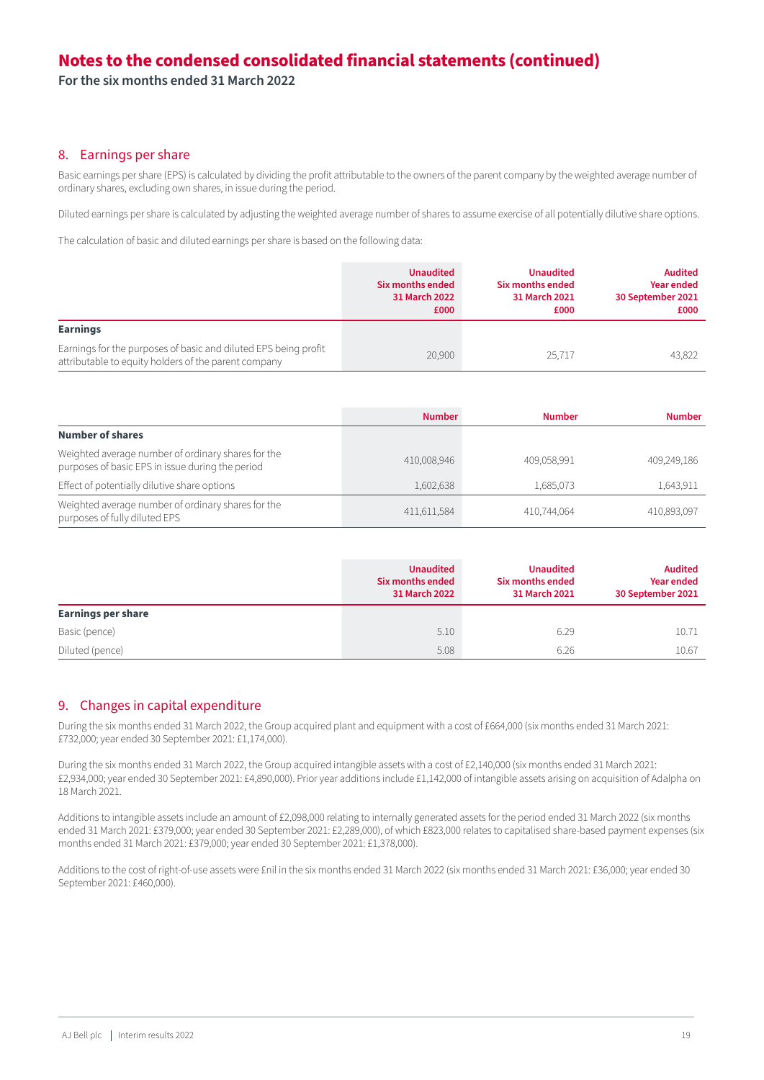**For the six months ended 31 March 2022**

#### 8. Earnings per share

Basic earnings per share (EPS) is calculated by dividing the profit attributable to the owners of the parent company by the weighted average number of ordinary shares, excluding own shares, in issue during the period.

Diluted earnings per share is calculated by adjusting the weighted average number of shares to assume exercise of all potentially dilutive share options.

The calculation of basic and diluted earnings per share is based on the following data:

|                                                                                                                         | <b>Unaudited</b><br>Six months ended<br>31 March 2022<br>£000 | <b>Unaudited</b><br>Six months ended<br>31 March 2021<br>£000 | <b>Audited</b><br><b>Year ended</b><br>30 September 2021<br>£000 |
|-------------------------------------------------------------------------------------------------------------------------|---------------------------------------------------------------|---------------------------------------------------------------|------------------------------------------------------------------|
| Earnings                                                                                                                |                                                               |                                                               |                                                                  |
| Earnings for the purposes of basic and diluted EPS being profit<br>attributable to equity holders of the parent company | 20,900                                                        | 25.717                                                        | 43.822                                                           |

|                                                                                                        | <b>Number</b> | <b>Number</b> | <b>Number</b> |
|--------------------------------------------------------------------------------------------------------|---------------|---------------|---------------|
| <b>Number of shares</b>                                                                                |               |               |               |
| Weighted average number of ordinary shares for the<br>purposes of basic EPS in issue during the period | 410,008,946   | 409,058,991   | 409,249,186   |
| Effect of potentially dilutive share options                                                           | 1,602,638     | 1,685,073     | 1,643,911     |
| Weighted average number of ordinary shares for the<br>purposes of fully diluted EPS                    | 411,611,584   | 410,744,064   | 410,893,097   |

|                           | <b>Unaudited</b><br>Six months ended<br>31 March 2022 | <b>Unaudited</b><br>Six months ended<br>31 March 2021 | <b>Audited</b><br><b>Year ended</b><br>30 September 2021 |
|---------------------------|-------------------------------------------------------|-------------------------------------------------------|----------------------------------------------------------|
| <b>Earnings per share</b> |                                                       |                                                       |                                                          |
| Basic (pence)             | 5.10                                                  | 6.29                                                  | 10.71                                                    |
| Diluted (pence)           | 5.08                                                  | 6.26                                                  | 10.67                                                    |

#### 9. Changes in capital expenditure

During the six months ended 31 March 2022, the Group acquired plant and equipment with a cost of £664,000 (six months ended 31 March 2021: £732,000; year ended 30 September 2021: £1,174,000).

During the six months ended 31 March 2022, the Group acquired intangible assets with a cost of £2,140,000 (six months ended 31 March 2021: £2,934,000; year ended 30 September 2021: £4,890,000). Prior year additions include £1,142,000 of intangible assets arising on acquisition of Adalpha on 18 March 2021.

Additions to intangible assets include an amount of £2,098,000 relating to internally generated assets for the period ended 31 March 2022 (six months ended 31 March 2021: £379,000; year ended 30 September 2021: £2,289,000), of which £823,000 relates to capitalised share-based payment expenses (six months ended 31 March 2021: £379,000; year ended 30 September 2021: £1,378,000).

Additions to the cost of right-of-use assets were £nil in the six months ended 31 March 2022 (six months ended 31 March 2021: £36,000; year ended 30 September 2021: £460,000).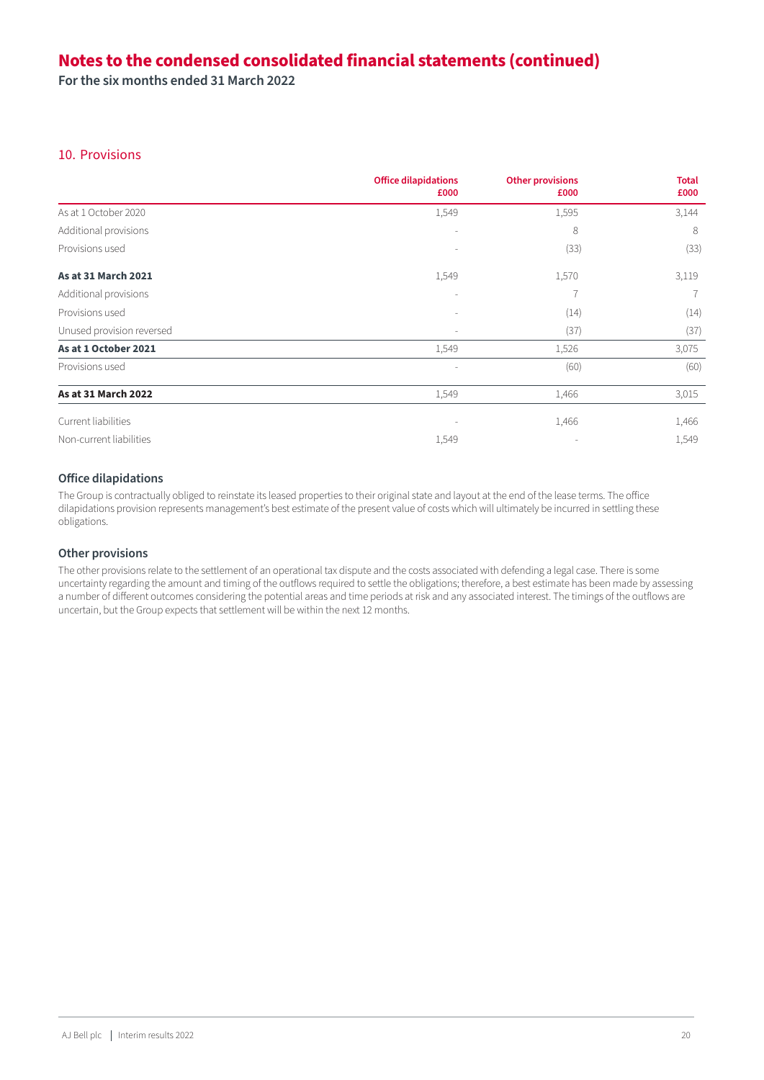**For the six months ended 31 March 2022**

#### 10. Provisions

|                           | <b>Office dilapidations</b><br>£000 | <b>Other provisions</b><br>£000 | <b>Total</b><br>£000 |
|---------------------------|-------------------------------------|---------------------------------|----------------------|
| As at 1 October 2020      | 1,549                               | 1,595                           | 3,144                |
| Additional provisions     |                                     | 8                               | 8                    |
| Provisions used           |                                     | (33)                            | (33)                 |
| As at 31 March 2021       | 1,549                               | 1,570                           | 3,119                |
| Additional provisions     |                                     | 7                               |                      |
| Provisions used           |                                     | (14)                            | (14)                 |
| Unused provision reversed |                                     | (37)                            | (37)                 |
| As at 1 October 2021      | 1,549                               | 1,526                           | 3,075                |
| Provisions used           |                                     | (60)                            | (60)                 |
| As at 31 March 2022       | 1,549                               | 1,466                           | 3,015                |
| Current liabilities       |                                     | 1,466                           | 1,466                |
| Non-current liabilities   | 1,549                               |                                 | 1,549                |

#### **Office dilapidations**

The Group is contractually obliged to reinstate its leased properties to their original state and layout at the end of the lease terms. The office dilapidations provision represents management's best estimate of the present value of costs which will ultimately be incurred in settling these obligations.

#### **Other provisions**

The other provisions relate to the settlement of an operational tax dispute and the costs associated with defending a legal case. There is some uncertainty regarding the amount and timing of the outflows required to settle the obligations; therefore, a best estimate has been made by assessing a number of different outcomes considering the potential areas and time periods at risk and any associated interest. The timings of the outflows are uncertain, but the Group expects that settlement will be within the next 12 months.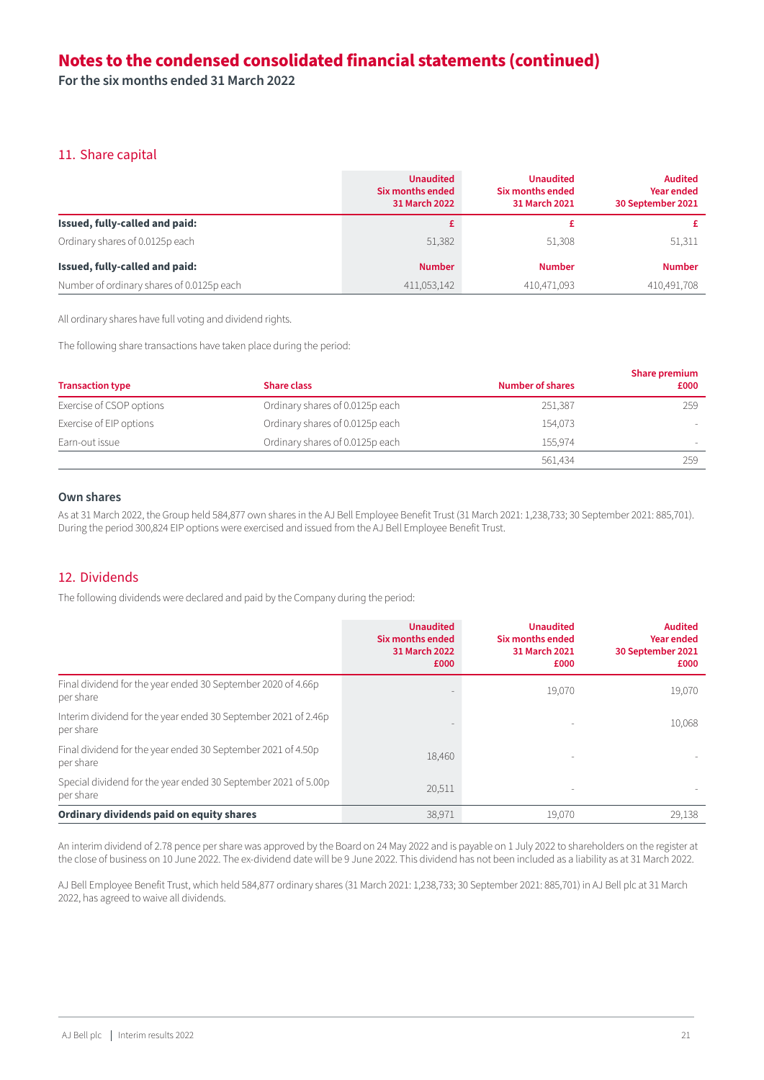**For the six months ended 31 March 2022**

#### 11. Share capital

|                                           | <b>Unaudited</b><br>Six months ended<br>31 March 2022 | <b>Unaudited</b><br>Six months ended<br>31 March 2021 | <b>Audited</b><br><b>Year ended</b><br>30 September 2021 |
|-------------------------------------------|-------------------------------------------------------|-------------------------------------------------------|----------------------------------------------------------|
| Issued, fully-called and paid:            |                                                       |                                                       |                                                          |
| Ordinary shares of 0.0125p each           | 51,382                                                | 51.308                                                | 51,311                                                   |
| Issued, fully-called and paid:            | <b>Number</b>                                         | <b>Number</b>                                         | <b>Number</b>                                            |
| Number of ordinary shares of 0.0125p each | 411,053,142                                           | 410,471,093                                           | 410,491,708                                              |

All ordinary shares have full voting and dividend rights.

The following share transactions have taken place during the period:

| <b>Transaction type</b>  | <b>Share class</b>              | <b>Number of shares</b> | <b>Share premium</b><br>£000 |
|--------------------------|---------------------------------|-------------------------|------------------------------|
| Exercise of CSOP options | Ordinary shares of 0.0125p each | 251,387                 | 259                          |
| Exercise of EIP options  | Ordinary shares of 0.0125p each | 154,073                 |                              |
| Earn-out issue           | Ordinary shares of 0.0125p each | 155.974                 |                              |
|                          |                                 | 561,434                 | 259                          |

#### **Own shares**

As at 31 March 2022, the Group held 584,877 own shares in the AJ Bell Employee Benefit Trust (31 March 2021: 1,238,733; 30 September 2021: 885,701). During the period 300,824 EIP options were exercised and issued from the AJ Bell Employee Benefit Trust.

#### 12. Dividends

The following dividends were declared and paid by the Company during the period:

|                                                                             | <b>Unaudited</b><br>Six months ended<br>31 March 2022<br>£000 | <b>Unaudited</b><br>Six months ended<br>31 March 2021<br>£000 | <b>Audited</b><br><b>Year ended</b><br>30 September 2021<br>£000 |
|-----------------------------------------------------------------------------|---------------------------------------------------------------|---------------------------------------------------------------|------------------------------------------------------------------|
| Final dividend for the year ended 30 September 2020 of 4.66p<br>per share   |                                                               | 19,070                                                        | 19,070                                                           |
| Interim dividend for the year ended 30 September 2021 of 2.46p<br>per share |                                                               |                                                               | 10,068                                                           |
| Final dividend for the year ended 30 September 2021 of 4.50p<br>per share   | 18,460                                                        |                                                               |                                                                  |
| Special dividend for the year ended 30 September 2021 of 5.00p<br>per share | 20,511                                                        |                                                               |                                                                  |
| Ordinary dividends paid on equity shares                                    | 38,971                                                        | 19.070                                                        | 29,138                                                           |

An interim dividend of 2.78 pence per share was approved by the Board on 24 May 2022 and is payable on 1 July 2022 to shareholders on the register at the close of business on 10 June 2022. The ex-dividend date will be 9 June 2022. This dividend has not been included as a liability as at 31 March 2022.

AJ Bell Employee Benefit Trust, which held 584,877 ordinary shares (31 March 2021: 1,238,733; 30 September 2021: 885,701) in AJ Bell plc at 31 March 2022, has agreed to waive all dividends.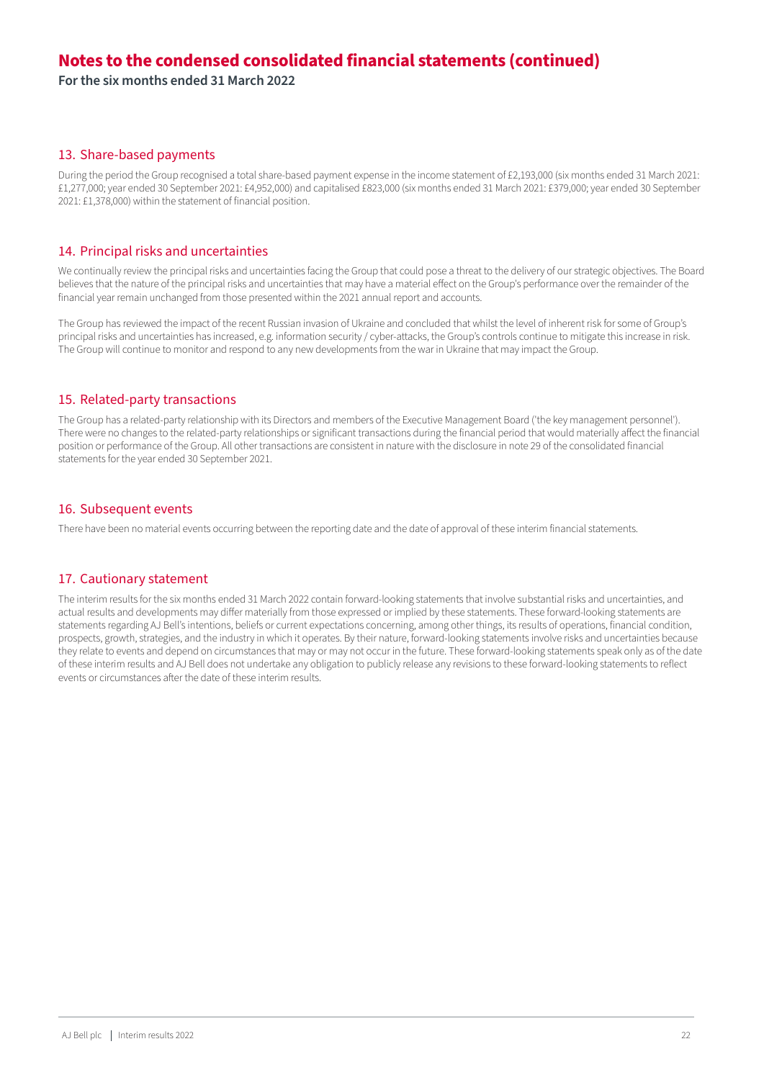**For the six months ended 31 March 2022**

#### 13. Share-based payments

During the period the Group recognised a total share-based payment expense in the income statement of £2,193,000 (six months ended 31 March 2021: £1,277,000; year ended 30 September 2021: £4,952,000) and capitalised £823,000 (six months ended 31 March 2021: £379,000; year ended 30 September 2021: £1,378,000) within the statement of financial position.

#### 14. Principal risks and uncertainties

We continually review the principal risks and uncertainties facing the Group that could pose a threat to the delivery of our strategic objectives. The Board believes that the nature of the principal risks and uncertainties that may have a material effect on the Group's performance over the remainder of the financial year remain unchanged from those presented within the 2021 annual report and accounts.

The Group has reviewed the impact of the recent Russian invasion of Ukraine and concluded that whilst the level of inherent risk for some of Group's principal risks and uncertainties has increased, e.g. information security / cyber-attacks, the Group's controls continue to mitigate this increase in risk. The Group will continue to monitor and respond to any new developments from the war in Ukraine that may impact the Group.

#### 15. Related-party transactions

The Group has a related-party relationship with its Directors and members of the Executive Management Board ('the key management personnel'). There were no changes to the related-party relationships or significant transactions during the financial period that would materially affect the financial position or performance of the Group. All other transactions are consistent in nature with the disclosure in note 29 of the consolidated financial statements for the year ended 30 September 2021.

#### 16. Subsequent events

There have been no material events occurring between the reporting date and the date of approval of these interim financial statements.

#### 17. Cautionary statement

The interim results for the six months ended 31 March 2022 contain forward-looking statements that involve substantial risks and uncertainties, and actual results and developments may differ materially from those expressed or implied by these statements. These forward-looking statements are statements regarding AJ Bell's intentions, beliefs or current expectations concerning, among other things, its results of operations, financial condition, prospects, growth, strategies, and the industry in which it operates. By their nature, forward-looking statements involve risks and uncertainties because they relate to events and depend on circumstances that may or may not occur in the future. These forward-looking statements speak only as of the date of these interim results and AJ Bell does not undertake any obligation to publicly release any revisions to these forward-looking statements to reflect events or circumstances after the date of these interim results.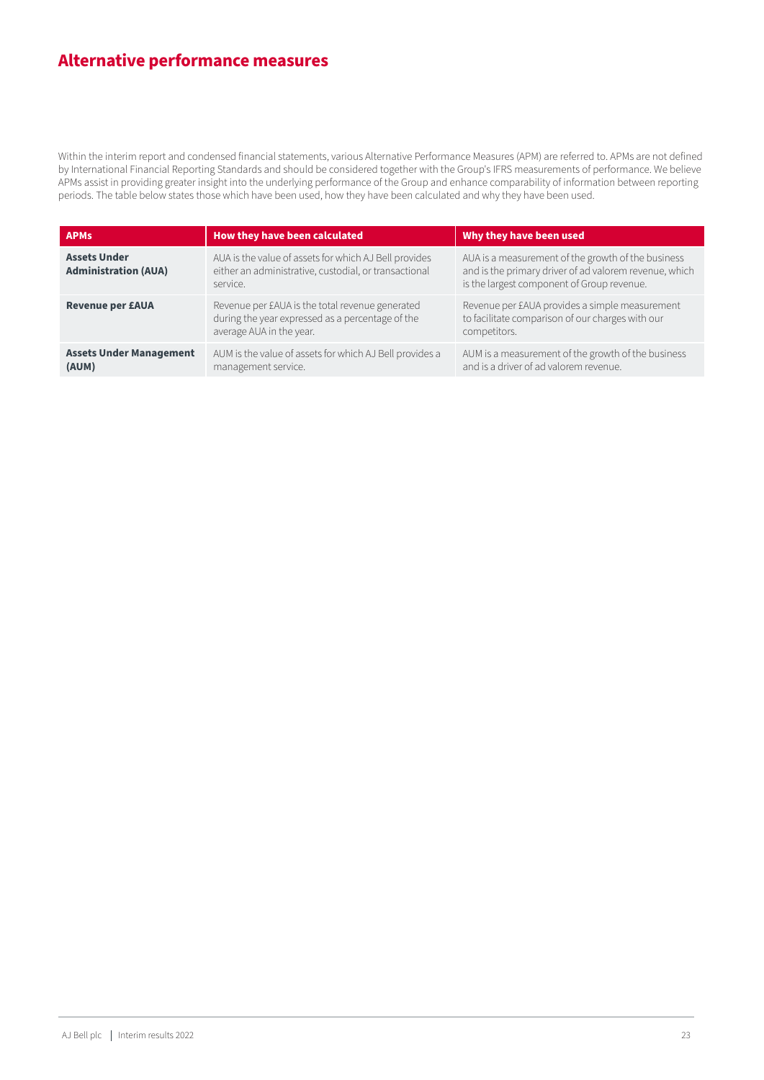# **Alternative performance measures**

Within the interim report and condensed financial statements, various Alternative Performance Measures (APM) are referred to. APMs are not defined by International Financial Reporting Standards and should be considered together with the Group's IFRS measurements of performance. We believe APMs assist in providing greater insight into the underlying performance of the Group and enhance comparability of information between reporting periods. The table below states those which have been used, how they have been calculated and why they have been used.

| <b>APMs</b>                                        | How they have been calculated                                                                                                   | Why they have been used                                                                                                                                    |
|----------------------------------------------------|---------------------------------------------------------------------------------------------------------------------------------|------------------------------------------------------------------------------------------------------------------------------------------------------------|
| <b>Assets Under</b><br><b>Administration (AUA)</b> | AUA is the value of assets for which AJ Bell provides<br>either an administrative, custodial, or transactional<br>service.      | AUA is a measurement of the growth of the business<br>and is the primary driver of ad valorem revenue, which<br>is the largest component of Group revenue. |
| <b>Revenue per £AUA</b>                            | Revenue per £AUA is the total revenue generated<br>during the year expressed as a percentage of the<br>average AUA in the year. | Revenue per £AUA provides a simple measurement<br>to facilitate comparison of our charges with our<br>competitors.                                         |
| <b>Assets Under Management</b><br>(AUM)            | AUM is the value of assets for which AJ Bell provides a<br>management service.                                                  | AUM is a measurement of the growth of the business<br>and is a driver of ad valorem revenue.                                                               |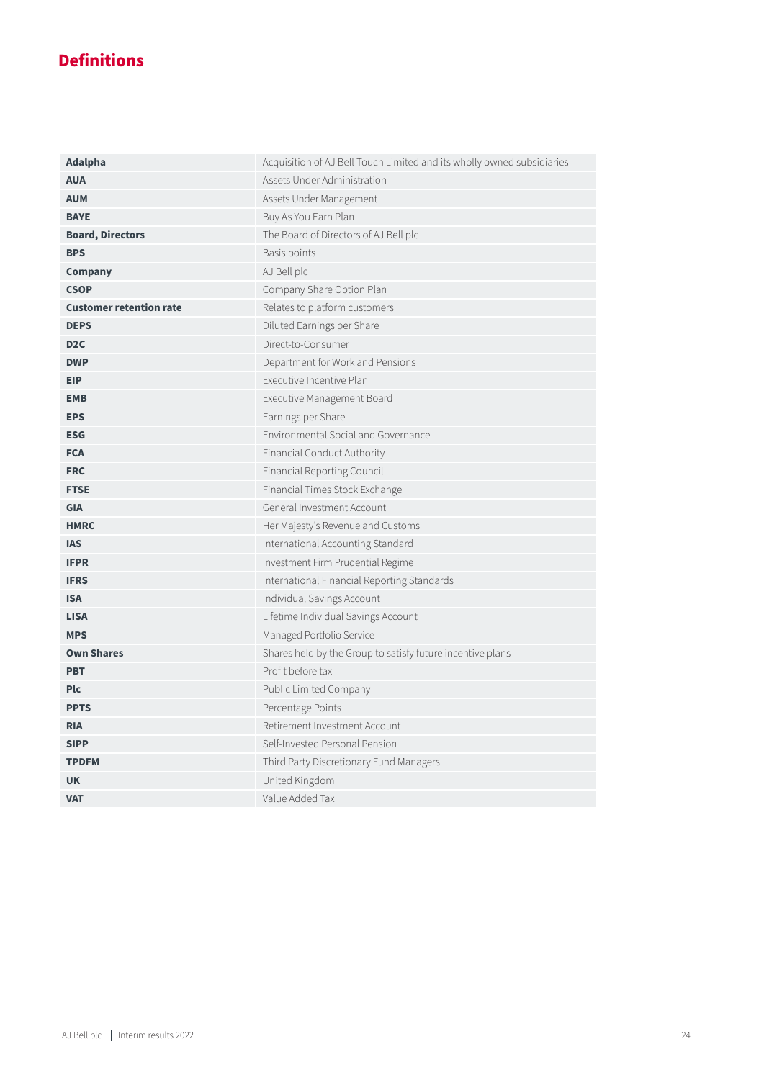# **Definitions**

| Adalpha                        | Acquisition of AJ Bell Touch Limited and its wholly owned subsidiaries |  |
|--------------------------------|------------------------------------------------------------------------|--|
| <b>AUA</b>                     | Assets Under Administration                                            |  |
| <b>AUM</b>                     | Assets Under Management                                                |  |
| <b>BAYE</b>                    | Buy As You Earn Plan                                                   |  |
| <b>Board, Directors</b>        | The Board of Directors of AJ Bell plc                                  |  |
| <b>BPS</b>                     | Basis points                                                           |  |
| <b>Company</b>                 | AJ Bell plc                                                            |  |
| <b>CSOP</b>                    | Company Share Option Plan                                              |  |
| <b>Customer retention rate</b> | Relates to platform customers                                          |  |
| <b>DEPS</b>                    | Diluted Earnings per Share                                             |  |
| D <sub>2</sub> C               | Direct-to-Consumer                                                     |  |
| <b>DWP</b>                     | Department for Work and Pensions                                       |  |
| <b>EIP</b>                     | Executive Incentive Plan                                               |  |
| <b>EMB</b>                     | Executive Management Board                                             |  |
| <b>EPS</b>                     | Earnings per Share                                                     |  |
| <b>ESG</b>                     | Environmental Social and Governance                                    |  |
| <b>FCA</b>                     | Financial Conduct Authority                                            |  |
| <b>FRC</b>                     | Financial Reporting Council                                            |  |
| <b>FTSE</b>                    | Financial Times Stock Exchange                                         |  |
| <b>GIA</b>                     | General Investment Account                                             |  |
| <b>HMRC</b>                    | Her Majesty's Revenue and Customs                                      |  |
| <b>IAS</b>                     | International Accounting Standard                                      |  |
| <b>IFPR</b>                    | Investment Firm Prudential Regime                                      |  |
| <b>IFRS</b>                    | International Financial Reporting Standards                            |  |
| <b>ISA</b>                     | Individual Savings Account                                             |  |
| <b>LISA</b>                    | Lifetime Individual Savings Account                                    |  |
| <b>MPS</b>                     | Managed Portfolio Service                                              |  |
| <b>Own Shares</b>              | Shares held by the Group to satisfy future incentive plans             |  |
| <b>PBT</b>                     | Profit before tax                                                      |  |
| <b>Plc</b>                     | Public Limited Company                                                 |  |
| <b>PPTS</b>                    | Percentage Points                                                      |  |
| <b>RIA</b>                     | Retirement Investment Account                                          |  |
| <b>SIPP</b>                    | Self-Invested Personal Pension                                         |  |
| <b>TPDFM</b>                   | Third Party Discretionary Fund Managers                                |  |
| <b>UK</b>                      | United Kingdom                                                         |  |
| <b>VAT</b>                     | Value Added Tax                                                        |  |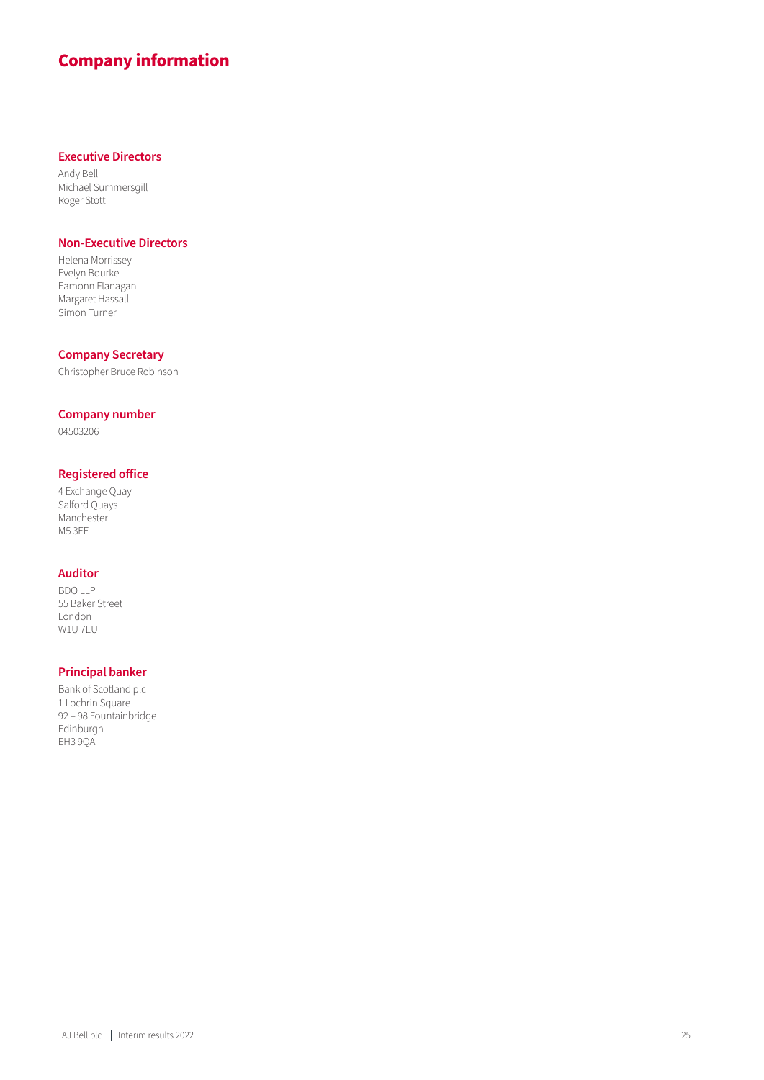# **Company information**

#### **Executive Directors**

Andy Bell Michael Summersgill Roger Stott

#### **Non-Executive Directors**

Helena Morrissey Evelyn Bourke Eamonn Flanagan Margaret Hassall Simon Turner

#### **Company Secretary**

Christopher Bruce Robinson

#### **Company number**

04503206

#### **Registered office**

4 Exchange Quay Salford Quays **Manchester** M5 3EE

#### **Auditor**

BDO LLP 55 Baker Street London W1U 7EU

#### **Principal banker**

Bank of Scotland plc 1 Lochrin Square 92 – 98 Fountainbridge Edinburgh EH3 9QA